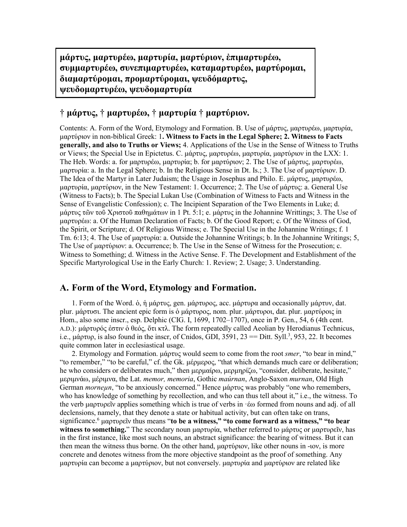**μάρτυς, μαρτυρέω, μαρτυρία, μαρτύριον, ἐπιμαρτυρέω, συμμαρτυρέω, συνεπιμαρτυρέω, καταμαρτυρέω, μαρτύρομαι, διαμαρτύρομαι, προμαρτύρομαι, ψευδόμαρτυς, ψευδομαρτυρέω, ψευδομαρτυρία**

# † **μάρτυς,** † **μαρτυρέω,** † **μαρτυρία** † **μαρτύριον.**

Contents: A. Form of the Word, Etymology and Formation. B. Use of μάρτυς, μαρτυρέω, μαρτυρία, μαρτύριον in non-biblical Greek: 1**. Witness to Facts in the Legal Sphere; 2. Witness to Facts generally, and also to Truths or Views;** 4. Applications of the Use in the Sense of Witness to Truths or Views; the Special Use in Epictetus. C. μάρτυς, μαρτυρέω, μαρτυρία, μαρτύριον in the LXX: 1. The Heb. Words: a. for μαρτυρέω, μαρτυρία; b. for μαρτύριον; 2. The Use of μάρτυς, μαρτυρέω, μαρτυρία: a. In the Legal Sphere; b. In the Religious Sense in Dt. Is.; 3. The Use of μαρτύριον. D. The Idea of the Martyr in Later Judaism; the Usage in Josephus and Philo. E. μάρτυς, μαρτυρέω, μαρτυρία, μαρτύριον, in the New Testament: 1. Occurrence; 2. The Use of μάρτυς: a. General Use (Witness to Facts); b. The Special Lukan Use (Combination of Witness to Facts and Witness in the Sense of Evangelistic Confession); c. The Incipient Separation of the Two Elements in Luke; d. μάρτυς τῶν τοῦ Χριστοῦ παθημάτων in 1 Pt. 5:1; e. μάρτυς in the Johannine Writtings; 3. The Use of μαρτυρέω: a. Of the Human Declaration of Facts; b. Of the Good Report; c. Of the Witness of God, the Spirit, or Scripture; d. Of Religious Witness; e. The Special Use in the Johannine Writings; f. 1 Tm. 6:13; 4. The Use of μαρτυρία: a. Outside the Johannine Writings; b. In the Johannine Writings; 5, The Use of μαρτύριον: a. Occurrence; b. The Use in the Sense of Witness for the Prosecution; c. Witness to Something; d. Witness in the Active Sense. F. The Development and Establishment of the Specific Martyrological Use in the Early Church: 1. Review; 2. Usage; 3. Understanding.

## **A. Form of the Word, Etymology and Formation.**

1. Form of the Word. ὁ, ἡ μάρτυς, gen. μάρτυρος, acc. μάρτυρα and occasionally μάρτυν, dat. plur. μάρτυσι. The ancient epic form is ὁ μάρτυρος, nom. plur. μάρτυροι, dat. plur. μαρτύροις in Hom., also some inscr., esp. Delphic (CIG. I, 1699, 1702–1707), once in P. Gen., 54, 6 (4th cent. A.D.): μάρτυρός ἐστιν ὁ θεός, ὅτι κτλ. The form repeatedly called Aeolian by Herodianus Technicus, i.e., μάρτυρ, is also found in the inscr, of Cnidos, GDI, 3591, 23 = Ditt. Syll.<sup>3</sup>, 953, 22. It becomes quite common later in ecclesiastical usage.

2. Etymology and Formation. μάρτυς would seem to come from the root *smer*, "to bear in mind," "to remember," "to be careful," cf. the Gk. μέρμερος, "that which demands much care or deliberation; he who considers or deliberates much," then μερμαίρω, μερμηρίζω, "consider, deliberate, hesitate," μεριμνάω, μέριμνα, the Lat. *memor, memoria*, Gothic *maúrnan*, Anglo-Saxon *murnan*, Old High German *morneµn*, "to be anxiously concerned." Hence μάρτυς was probably "one who remembers, who has knowledge of something by recollection, and who can thus tell about it," i.e., the witness. To the verb μαρτυρεῖν applies something which is true of verbs in ·έω formed from nouns and adj. of all declensions, namely, that they denote a state or habitual activity, but can often take on trans, significance.6 μαρτυρεῖν thus means "**to be a witness," "to come forward as a witness," "to bear witness to something.**" The secondary noun μαρτυρία, whether referred to μάρτυς or μαρτυρεῖν, has in the first instance, like most such nouns, an abstract significance: the bearing of witness. But it can then mean the witness thus borne. On the other hand, μαρτύριον, like other nouns in -ιον, is more concrete and denotes witness from the more objective standpoint as the proof of something. Any μαρτυρία can become a μαρτύριον, but not conversely. μαρτυρία and μαρτύριον are related like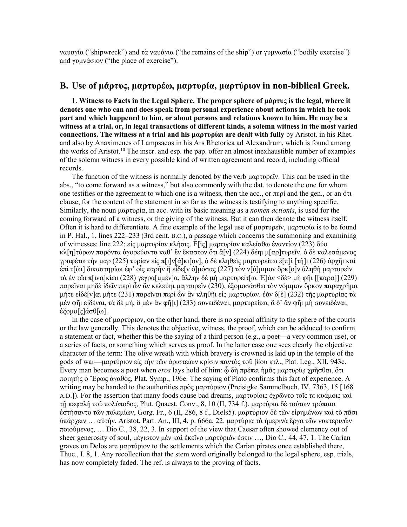ναυαγία ("shipwreck") and τὰ ναυάγια ("the remains of the ship") or γυμνασία ("bodily exercise") and γυμνάσιον ("the place of exercise").

### **B. Use of μάρτυς, μαρτυρέω, μαρτυρία, μαρτύριον in non-biblical Greek.**

1. **Witness to Facts in the Legal Sphere. The proper sphere of μάρτυς is the legal, where it denotes one who can and does speak from personal experience about actions in which he took part and which happened to him, or about persons and relations known to him. He may be a witness at a trial, or, in legal transactions of different kinds, a solemn witness in the most varied connections. The witness at a trial and his μαρτυρίαι are dealt with fully** by Aristot. in his Rhet. and also by Anaximenes of Lampsacos in his Ars Rhetorica ad Alexandrum, which is found among the works of Aristot.<sup>10</sup> The inscr. and esp. the pap. offer an almost inexhaustible number of examples of the solemn witness in every possible kind of written agreement and record, including official records.

The function of the witness is normally denoted by the verb  $\mu\alpha\rho\tau\nu\rho\epsilon\tilde{\nu}\nu$ . This can be used in the abs., "to come forward as a witness," but also commonly with the dat. to denote the one for whom one testifies or the agreement to which one is a witness, then the acc., or  $\pi \epsilon \rho i$  and the gen., or an  $\delta \tau$ clause, for the content of the statement in so far as the witness is testifying to anything specific. Similarly, the noun μαρτυρία, in acc. with its basic meaning as a *nomen actionis*, is used for the coming forward of a witness, or the giving of the witness. But it can then denote the witness itself. Often it is hard to differentiate. A fine example of the legal use of μαρτυρεῖν, μαρτυρία is to be found in P. Hal., 1, lines 222–233 (3rd cent. B.C.), a passage which concerns the summoning and examining of witnesses: line 222: εἰς μαρτυρίαν κλῆσις. Ε[ἰς] μαρτυρίαν καλείσθω ἐναντίον (223) δύο κλ[η]τόρων παρόντα ἀγορεύοντα καθ' ἓν ἕκαστον ὅτι ἂ[ν] (224) δέηι μ[αρ]τυρεῖν. ὁ δὲ καλεσάμενος γραφέτω τὴν μαρ (225) τυρίαν εἰς π[ι]ν[ά]κι[ον], ὁ δὲ κληθεὶς μαρτυρείτω ἐ[π]ὶ [τῆ]ι (226) ἀρχῆι καὶ ἐπὶ τ[ῶι] δικαστηρίωι ἐφ' οἷς παρῆν ἢ εἶδε[ν ὀ]μόσας (227) τὸν ν[ό]μιμον ὅρκ[ο]ν ἀληθῆ μαρτυρεῖν τὰ ἐν τῶι π[ινα]κίωι (228) γεγρα[μμέν]α, ἄλλην δὲ μὴ μαρτυρείτ[ω. Ἐ]ὰν <δὲ> μὴ φῆι [[παρα]] (229) παρεῖναι μηδὲ ἰδεῖν περὶ ὧν ἂν κελεύηι μαρτυρεῖν (230), ἐξομοσάσθω τὸν νόμιμον ὅρκον παραχρῆμα μήτε εἰδέ[ν]αι μήτε (231) παρεῖναι περὶ ὧν ἂν κληθῆι εἰς μαρτυρίαν. ἐὰν δ[ὲ] (232) τῆς μαρτυρίας τὰ μὲν φῆι εἰδέναι, τὰ δὲ μή, ἃ μὲν ἂν φῆ[ι] (233) συνειδέναι, μαρτυρείτω, ἃ δ' ἂν φῆι μὴ συνειδέναι, ἐξομο[ς]άσθ[ω].

In the case of μαρτύριον, on the other hand, there is no special affinity to the sphere of the courts or the law generally. This denotes the objective, witness, the proof, which can be adduced to confirm a statement or fact, whether this be the saying of a third person (e.g., a poet—a very common use), or a series of facts, or something which serves as proof. In the latter case one sees clearly the objective character of the term: The olive wreath with which bravery is crowned is laid up in the temple of the gods of war—μαρτύριον εἰς τὴν τῶν ἀριστείων κρίσιν παντὸς τοῦ βίου κτλ., Plat. Leg., XII, 943c. Every man becomes a poet when *eros* lays hold of him: ᾧ δὴ πρέπει ἡμᾶς μαρτυρίῳ χρῆσθαι, ὅτι ποιητὴς ὁ Ἔρως ἀγαθός, Plat. Symp., 196e. The saying of Plato confirms this fact of experience. A writing may be handed to the authorities πρὸς μαρτύριον (Preisigke Sammelbuch, IV, 7363, 15 [168 A.D.]). For the assertion that many foods cause bad dreams, μαρτυρίοις ἐχρῶντο τοῖς τε κυάμοις καὶ τῇ κεφαλῇ τοῦ πολύποδος, Plut. Quaest. Conv., 8, 10 (II, 734 f.). μαρτύρια δὲ τούτων τρόπαια ἐστήσαντο τῶν πολεμίων, Gorg. Fr., 6 (II, 286, 8 f., Diels5). μαρτύριον δὲ τῶν εἰρημένων καὶ τὸ πᾶσι ὑπάρχειν … αὐτήν, Aristot. Part. An., III, 4, p. 666a, 22. μαρτύρια τὰ ἡμερινὰ ἔργα τῶν νυκτερινῶν ποιούμενος, … Dio C., 38, 22, 3. In support of the view that Caesar often showed clemency out of sheer generosity of soul, μέγιστον μὲν καὶ ἐκεῖνο μαρτύριόν ἐστιν …, Dio C., 44, 47, 1. The Carian graves on Delos are μαρτύριον to the settlements which the Carian pirates once established there, Thuc., I. 8, 1. Any recollection that the stem word originally belonged to the legal sphere, esp. trials, has now completely faded. The ref. is always to the proving of facts.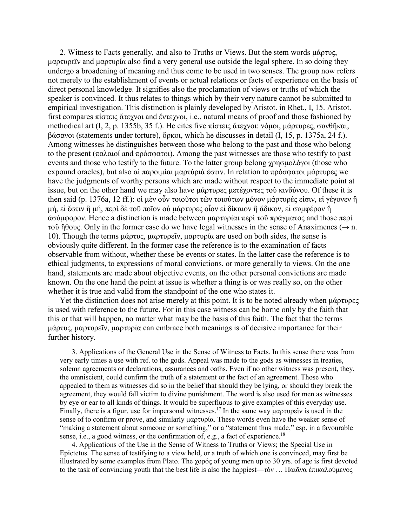2. Witness to Facts generally, and also to Truths or Views. But the stem words μάρτυς, μαρτυρεῖν and μαρτυρία also find a very general use outside the legal sphere. In so doing they undergo a broadening of meaning and thus come to be used in two senses. The group now refers not merely to the establishment of events or actual relations or facts of experience on the basis of direct personal knowledge. It signifies also the proclamation of views or truths of which the speaker is convinced. It thus relates to things which by their very nature cannot be submitted to empirical investigation. This distinction is plainly developed by Aristot. in Rhet., I, 15. Aristot. first compares πίστεις ἄτεχνοι and ἔντεχνοι, i.e., natural means of proof and those fashioned by methodical art (I, 2, p. 1355b, 35 f.). He cites five πίστεις ἄτεχνοι: νόμοι, μάρτυρες, συνθῆκαι, βάσανοι (statements under torture), ὅρκοι, which he discusses in detail (I, 15, p. 1375a, 24 f.). Among witnesses he distinguishes between those who belong to the past and those who belong to the present (παλαιοί and πρόσφατοι). Among the past witnesses are those who testify to past events and those who testify to the future. To the latter group belong χρησμολόγοι (those who expound oracles), but also αἱ παροιμίαι μαρτύριά ἐστιν. In relation to πρόσφατοι μάρτυρες we have the judgments of worthy persons which are made without respect to the immediate point at issue, but on the other hand we may also have μάρτυρες μετέχοντες τοῦ κινδύνου. Of these it is then said (p. 1376a, 12 ff.): οἱ μὲν οὖν τοιοῦτοι τῶν τοιούτων μόνον μάρτυρές εἰσιν, εἰ γέγονεν ἢ μή, εἰ ἔστιν ἢ μή, περὶ δὲ τοῦ ποῖον οὐ μάρτυρες οἷον εἰ δίκαιον ἢ ἄδικον, εἰ συμφέρον ἢ ἀσύμφορον. Hence a distinction is made between μαρτυρίαι περὶ τοῦ πράγματος and those περὶ τοῦ ἤθους. Only in the former case do we have legal witnesses in the sense of Anaximenes (→ n. 10). Though the terms μάρτυς, μαρτυρεῖν, μαρτυρία are used on both sides, the sense is obviously quite different. In the former case the reference is to the examination of facts observable from without, whether these be events or states. In the latter case the reference is to ethical judgments, to expressions of moral convictions, or more generally to views. On the one hand, statements are made about objective events, on the other personal convictions are made known. On the one hand the point at issue is whether a thing is or was really so, on the other whether it is true and valid from the standpoint of the one who states it.

Yet the distinction does not arise merely at this point. It is to be noted already when μάρτυρες is used with reference to the future. For in this case witness can be borne only by the faith that this or that will happen, no matter what may be the basis of this faith. The fact that the terms μάρτυς, μαρτυρεῖν, μαρτυρία can embrace both meanings is of decisive importance for their further history.

3. Applications of the General Use in the Sense of Witness to Facts. In this sense there was from very early times a use with ref. to the gods. Appeal was made to the gods as witnesses in treaties, solemn agreements or declarations, assurances and oaths. Even if no other witness was present, they, the omniscient, could confirm the truth of a statement or the fact of an agreement. Those who appealed to them as witnesses did so in the belief that should they be lying, or should they break the agreement, they would fall victim to divine punishment. The word is also used for men as witnesses by eye or ear to all kinds of things. It would be superfluous to give examples of this everyday use. Finally, there is a figur. use for impersonal witnesses.<sup>17</sup> In the same way μαρτυρεῖν is used in the sense of to confirm or prove, and similarly μαρτυρία. These words even have the weaker sense of "making a statement about someone or something," or a "statement thus made," esp. in a favourable sense, i.e., a good witness, or the confirmation of, e.g., a fact of experience.<sup>18</sup>

4. Applications of the Use in the Sense of Witness to Truths or Views; the Special Use in Epictetus. The sense of testifying to a view held, or a truth of which one is convinced, may first be illustrated by some examples from Plato. The χορός of young men up to 30 yrs. of age is first devoted to the task of convincing youth that the best life is also the happiest—τὸν … Παιᾶνα ἐπικαλούμενος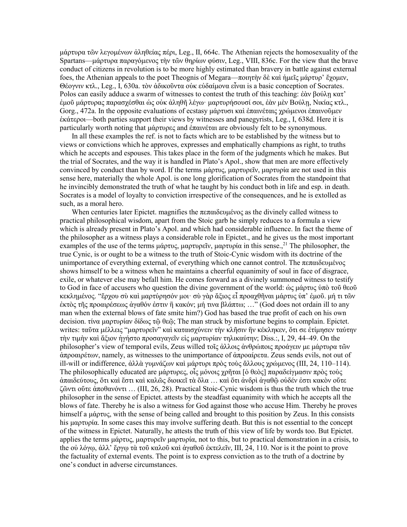μάρτυρα τῶν λεγομένων ἀληθείας πέρι, Leg., II, 664c. The Athenian rejects the homosexuality of the Spartans—μάρτυρα παραγόμενος τὴν τῶν θηρίων φύσιν, Leg., VIII, 836c. For the view that the brave conduct of citizens in revolution is to be more highly estimated than bravery in battle against external foes, the Athenian appeals to the poet Theognis of Megara—ποιητὴν δὲ καὶ ἡμεῖς μάρτυρ' ἔχομεν, Θέογνιν κτλ., Leg., I, 630a. τὸν ἀδικοῦντα οὐκ εὐδαίμονα εἶναι is a basic conception of Socrates. Polos can easily adduce a swarm of witnesses to contest the truth of this teaching: ἐὰν βούλῃ κατ' ἐμοῦ μάρτυρας παρασχέσθαι ὡς οὐκ ἀληθῆ λέγω· μαρτυρήσουσί σοι, ἐὰν μὲν Βούλῃ, Νικίας κτλ., Gorg., 472a. In the opposite evaluations of ecstasy μάρτυσι καὶ ἐπαινέταις χρώμενοι ἐπαινοῦμεν ἑκάτεροι—both parties support their views by witnesses and panegyrists, Leg., I, 638d. Here it is particularly worth noting that μάρτυρες and ἐπαινέται are obviously felt to be synonymous.

In all these examples the ref. is not to facts which are to be established by the witness but to views or convictions which he approves, expresses and emphatically champions as right, to truths which he accepts and espouses. This takes place in the form of the judgments which he makes. But the trial of Socrates, and the way it is handled in Plato's Apol., show that men are more effectively convinced by conduct than by word. If the terms μάρτυς, μαρτυρεῖν, μαρτυρία are not used in this sense here, materially the whole Apol. is one long glorification of Socrates from the standpoint that he invincibly demonstrated the truth of what he taught by his conduct both in life and esp. in death. Socrates is a model of loyalty to conviction irrespective of the consequences, and he is extolled as such, as a moral hero.

When centuries later Epictet. magnifies the πεπαιδευμένος as the divinely called witness to practical philosophical wisdom, apart from the Stoic garb he simply reduces to a formula a view which is already present in Plato's Apol. and which had considerable influence. In fact the theme of the philosopher as a witness plays a considerable role in Epictet., and he gives us the most important examples of the use of the terms μάρτυς, μαρτυρεῖν, μαρτυρία in this sense.<sup>21</sup> The philosopher, the true Cynic, is or ought to be a witness to the truth of Stoic-Cynic wisdom with its doctrine of the unimportance of everything external, of everything which one cannot control. The πεπαιδευμένος shows himself to be a witness when he maintains a cheerful equanimity of soul in face of disgrace, exile, or whatever else may befall him. He comes forward as a divinely summoned witness to testify to God in face of accusers who question the divine government of the world: ὡς μάρτυς ὑπὸ τοῦ θεοῦ κεκλημένος. "ἔρχου σὺ καὶ μαρτύρησόν μοι· σὺ γὰρ ἄξιος εἶ προαχθῆναι μάρτυς ὑπ' ἐμοῦ. μή τι τῶν ἐκτὸς τῆς προαιρέσεως ἀγαθόν ἐστιν ἢ κακόν; μή τινα βλάπτω; …" (God does not ordain ill to any man when the external blows of fate smite him?) God has based the true profit of each on his own decision. τίνα μαρτυρίαν δίδως τῷ θεῷ; The man struck by misfortune begins to complain. Epictet. writes: ταῦτα μέλλεις "μαρτυρεῖν" καὶ καταισχύνειν τὴν κλῆσιν ἣν κέκληκεν, ὅτι σε ἐτίμησεν ταύτην τὴν τιμὴν καὶ ἄξιον ἡγήστο προσαγαγεῖν εἰς μαρτυρίαν τηλικαύτην; Diss.:, I, 29, 44–49. On the philosopher's view of temporal evils, Zeus willed τοῖς ἀλλοις ἀνθρώποις προάγειν με μάρτυρα τῶν ἀπροαιρέτων, namely, as witnesses to the unimportance of ἀπροαίρετα. Zeus sends evils, not out of ill-will or indifference, ἀλλὰ γυμνάζων καὶ μάρτυρι πρὸς τοὺς ἄλλους χρώμενος (III, 24, 110–114). The philosophically educated are μάρτυρες, οἷς μόνοις χρῆται [ὁ θεὸς] παραδείγμασιν πρὸς τοὺς ἀπαιδεύτους, ὅτι καὶ ἔστι καὶ καλῶς διοικεῖ τὰ ὅλα … καὶ ὅτι ἀνδρὶ ἀγαθῷ οὑδέν ἐστι κακὸν οὔτε ζῶντι οὔτε ἀποθανόντι … (III, 26, 28). Practical Stoic-Cynic wisdom is thus the truth which the true philosopher in the sense of Epictet. attests by the steadfast equanimity with which he accepts all the blows of fate. Thereby he is also a witness for God against those who accuse Him. Thereby he proves himself a μάρτυς, with the sense of being called and brought to this position by Zeus. In this consists his μαρτυρία. In some cases this may involve suffering death. But this is not essential to the concept of the witness in Epictet. Naturally, he attests the truth of this view of life by words too. But Epictet. applies the terms μάρτυς, μαρτυρεῖν μαρτυρία, not to this, but to practical demonstration in a crisis, to the οὐ λόγῳ, ἀλλ' ἔργῳ τὰ τοῦ καλοῦ καὶ ἀγαθοῦ ἐκτελεῖν, III, 24, 110. Nor is it the point to prove the factuality of external events. The point is to express conviction as to the truth of a doctrine by one's conduct in adverse circumstances.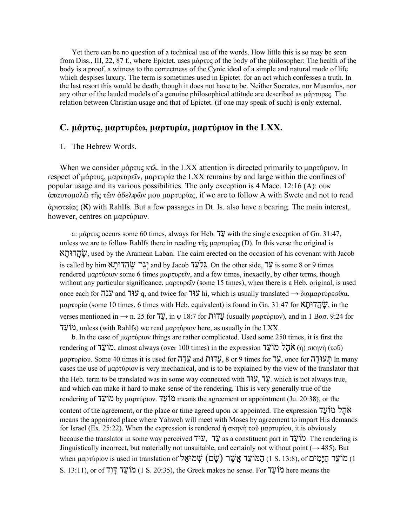Yet there can be no question of a technical use of the words. How little this is so may be seen from Diss., III, 22, 87 f., where Epictet. uses μάρτυς of the body of the philosopher: The health of the body is a proof, a witness to the correctness of the Cynic ideal of a simple and natural mode of life which despises luxury. The term is sometimes used in Epictet. for an act which confesses a truth. In the last resort this would be death, though it does not have to be. Neither Socrates, nor Musonius, nor any other of the lauded models of a genuine philosophical attitude are described as μάρτυρες. The relation between Christian usage and that of Epictet. (if one may speak of such) is only external.

## **C. μάρτυς, μαρτυρέω, μαρτυρία, μαρτύριον in the LXX.**

1. The Hebrew Words.

When we consider μάρτυς κτλ. in the LXX attention is directed primarily to μαρτύριον. In respect of μάρτυς, μαρτυρεῖν, μαρτυρία the LXX remains by and large within the confines of popular usage and its various possibilities. The only exception is 4 Macc. 12:16 (A): οὐκ ἀπαυτομολῶ τῆς τῶν ἀδελφῶν μου μαρτυρίας, if we are to follow A with Swete and not to read  $\alpha$ ριστείας (λ) with Rahlfs. But a few passages in Dt. Is. also have a bearing. The main interest, however, centres on μαρτύριον.

a: μάρτυς occurs some 60 times, always for Heb. דֵע with the single exception of Gn. 31:47, unless we are to follow Rahlfs there in reading τῆς μαρτυρίας (D). In this verse the original is שְׂהֲדוּתַא 
שׂהָדוּתַא (שׂהֲדוּתַא end by the Aramean Laban. The cairn erected on the occasion of his covenant with Jacob is called by him אֲלָעֲד and by Jacob בַּלְעֲד On the other side, דֵּע is some 8 or 9 times rendered μαρτύριον some 6 times μαρτυρεῖν, and a few times, inexactly, by other terms, though without any particular significance. μαρτυρεῖν (some 15 times), when there is a Heb. original, is used once each for ענה and עוּד q, and twice for עוּד hi, which is usually translated → διαμαρτύρεσθαι. μαρτυρία (some 10 times, 6 times with Heb. equivalent) is found in Gn. 31:47 for  $\binom{31}{47}$  in the verses mentioned in  $\rightarrow$  n. 25 for  $\vec{v}$ , in  $\psi$  18:7 for  $\vec{v}$ . We usually μαρτύριον), and in 1 Βασ. 9:24 for הַמֹּעֲדָ $\alpha$ , unless (with Rahlfs) we read μαρτύριον here, as usually in the LXX.

b. In the case of μαρτύριον things are rather complicated. Used some 250 times, it is first the rendering of דְּמוֹעֵד, almost always (over 100 times) in the expression הֵלְ $\chi$ הוֹעֲד $\chi$  (ή) σκηνὴ (τοῦ) μαρτυρίου. Some 40 times it is used for ה ָדֵע and דוּתֵע, 8 or 9 times for דֵע, once for ה ָעוּד ְתּ In many cases the use of μαρτύριον is very mechanical, and is to be explained by the view of the translator that the Heb. term to be translated was in some way connected with  $\ddot{v}$ ,  $\ddot{v}$ ,  $\ddot{v}$ , which is not always true, and which can make it hard to make sense of the rendering. This is very generally true of the rendering of דֵמוֹע by μαρτύριον. דֵמוֹע means the agreement or appointment (Ju. 20:38), or the content of the agreement, or the place or time agreed upon or appointed. The expression דֵמוֹע לֶהֹא means the appointed place where Yahweh will meet with Moses by agreement to impart His demands for Israel (Ex. 25:22). When the expression is rendered ἡ σκηνὴ τοῦ μαρτυρίου, it is obviously because the translator in some way perceived עוּד, דֵע as a constituent part in דֵמוֹע. The rendering is Jinguistically incorrect, but materially not unsuitable, and certainly not without point ( $\rightarrow$  485). But when μαρτύριον is used in translation of שְׁמוּאֵל (שָׂם) שְׁמוּאֵל (1 S. 13:8), of נוֹעֵד הַיָּמִים (1 S. 13:11), or of  $7$ ן בוֹעֲדְ דִּוְדָ $(1 S. 20:35)$ , the Greek makes no sense. For  $7\frac{1}{2}$  here means the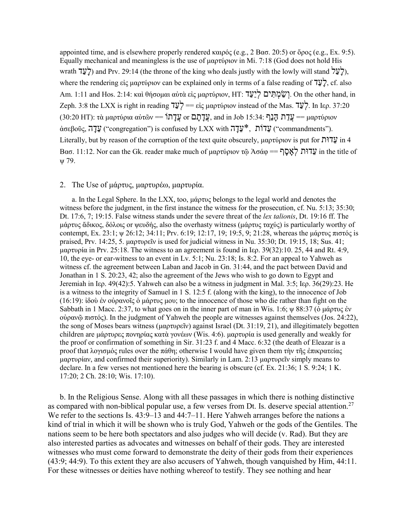appointed time, and is elsewhere properly rendered καιρός (e.g., 2 Βασ. 20:5) or ὅρος (e.g., Ex. 9:5). Equally mechanical and meaningless is the use of μαρτύριον in Mi. 7:18 (God does not hold His wrath  $\vec{y}$ לָעֲל) and Prv. 29:14 (the throne of the king who deals justly with the lowly will stand  $\vec{y}$ ), where the rendering εἰς μαρτύριον can be explained only in terms of a false reading of דֵעָל, cf. also Am. 1:11 and Hos. 2:14: καὶ θήσομαι αὐτὰ εἰς μαρτύριον, HT: דָעַד, On the other hand, in Zeph. 3:8 the LXX is right in reading  $\vec{\tau}$ לָעֲד == εἰς μαρτύριον instead of the Mas.  $\vec{\tau}$ לָעָד. In Iερ. 37:20 (30:20 HT): τὰ μαρτύρια αὐτῶν == מֲדָת הָנֵף 30:34: עֲדָתָם , and in Job 15:34: עֲדָת הַנֵּף = μαρτύριον  $\alpha$ ασεβοῦς, עֲדָה ("congregation") is confused by LXX with  $\gamma$ עֲדָה ("commandments"). Literally, but by reason of the corruption of the text quite obscurely, μαρτύριον is put for דוּתֵע in 4 Βασ. 11:12. Nor can the Gk. reader make much of μαρτύριον τῷ Ἀσάφ == ף ָס ָאְל דוּתֵע in the title of ψ 79.

### 2. The Use of μάρτυς, μαρτυρέω, μαρτυρία.

a. In the Legal Sphere. In the LXX, too, μάρτυς belongs to the legal world and denotes the witness before the judgment, in the first instance the witness for the prosecution, cf. Nu. 5:13; 35:30; Dt. 17:6, 7; 19:15. False witness stands under the severe threat of the *lex talionis*, Dt. 19:16 ff. The μάρτυς ἄδικος, δόλοις or ψευδής, also the overhasty witness (μάρτυς ταχύς) is particularly worthy of contempt, Ex. 23:1; ψ 26:12; 34:11; Prv. 6:19; 12:17, 19; 19:5, 9; 21:28, whereas the μάρτυς πιστός is praised, Prv. 14:25, 5. μαρτυρεῖν is used for judicial witness in Nu. 35:30; Dt. 19:15, 18; Sus. 41; μαρτυρία in Prv. 25:18. The witness to an agreement is found in Ιερ. 39(32):10. 25, 44 and Rt. 4:9, 10, the eye- or ear-witness to an event in Lv. 5:1; Nu. 23:18; Is. 8:2. For an appeal to Yahweh as witness cf. the agreement between Laban and Jacob in Gn. 31:44, and the pact between David and Jonathan in 1 S. 20:23, 42; also the agreement of the Jews who wish to go down to Egypt and Jeremiah in Ιερ. 49(42):5. Yahweh can also be a witness in judgment in Mal. 3:5; Ιερ. 36(29):23. He is a witness to the integrity of Samuel in 1 S. 12:5 f. (along with the king), to the innocence of Job (16:19): ἰδοὺ ἐν οὐρανοῖς ὁ μάρτυς μου; to the innocence of those who die rather than fight on the Sabbath in 1 Macc. 2:37, to what goes on in the inner part of man in Wis. 1:6; ψ 88:37 (ὁ μάρτυς ἐν οὐρανῷ πιστός). In the judgment of Yahweh the people are witnesses against themselves (Jos. 24:22), the song of Moses bears witness (μαρτυρεῖν) against Israel (Dt. 31:19, 21), and illegitimately begotten children are μάρτυρες πονηρίας κατὰ γονέων (Wis. 4:6). μαρτυρία is used generally and weakly for the proof or confirmation of something in Sir. 31:23 f. and 4 Macc. 6:32 (the death of Eleazar is a proof that λογισμός rules over the πάθη; otherwise I would have given them τὴν τῆς ἐπικρατείας μαρτυρίαν, and confirmed their superiority). Similarly in Lam. 2:13 μαρτυρεῖν simply means to declare. In a few verses not mentioned here the bearing is obscure (cf. Ex. 21:36; 1 S. 9:24; 1 K. 17:20; 2 Ch. 28:10; Wis. 17:10).

b. In the Religious Sense. Along with all these passages in which there is nothing distinctive as compared with non-biblical popular use, a few verses from Dt. Is. deserve special attention.<sup>27</sup> We refer to the sections Is. 43:9–13 and 44:7–11. Here Yahweh arranges before the nations a kind of trial in which it will be shown who is truly God, Yahweh or the gods of the Gentiles. The nations seem to be here both spectators and also judges who will decide (v. Rad). But they are also interested parties as advocates and witnesses on behalf of their gods. They are interested witnesses who must come forward to demonstrate the deity of their gods from their experiences (43:9; 44:9). To this extent they are also accusers of Yahweh, though vanquished by Him, 44:11. For these witnesses or deities have nothing whereof to testify. They see nothing and hear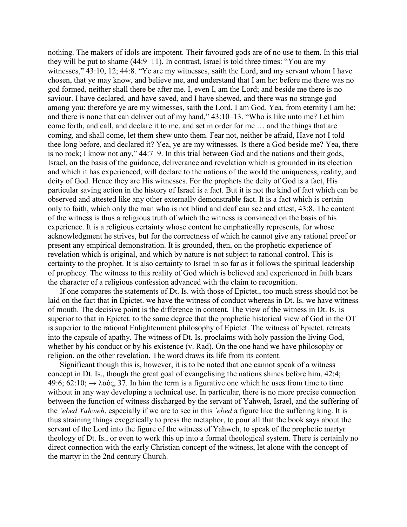nothing. The makers of idols are impotent. Their favoured gods are of no use to them. In this trial they will be put to shame (44:9–11). In contrast, Israel is told three times: "You are my witnesses," 43:10, 12; 44:8. "Ye are my witnesses, saith the Lord, and my servant whom I have chosen, that ye may know, and believe me, and understand that I am he: before me there was no god formed, neither shall there be after me. I, even I, am the Lord; and beside me there is no saviour. I have declared, and have saved, and I have shewed, and there was no strange god among you: therefore ye are my witnesses, saith the Lord. I am God. Yea, from eternity I am he; and there is none that can deliver out of my hand," 43:10–13. "Who is like unto me? Let him come forth, and call, and declare it to me, and set in order for me … and the things that are coming, and shall come, let them shew unto them. Fear not, neither be afraid, Have not I told thee long before, and declared it? Yea, ye are my witnesses. Is there a God beside me? Yea, there is no rock; I know not any," 44:7–9. In this trial between God and the nations and their gods, Israel, on the basis of the guidance, deliverance and revelation which is grounded in its election and which it has experienced, will declare to the nations of the world the uniqueness, reality, and deity of God. Hence they are His witnesses. For the prophets the deity of God is a fact, His particular saving action in the history of Israel is a fact. But it is not the kind of fact which can be observed and attested like any other externally demonstrable fact. It is a fact which is certain only to faith, which only the man who is not blind and deaf can see and attest, 43:8. The content of the witness is thus a religious truth of which the witness is convinced on the basis of his experience. It is a religious certainty whose content he emphatically represents, for whose acknowledgment he strives, but for the correctness of which he cannot give any rational proof or present any empirical demonstration. It is grounded, then, on the prophetic experience of revelation which is original, and which by nature is not subject to rational control. This is certainty to the prophet. It is also certainty to Israel in so far as it follows the spiritual leadership of prophecy. The witness to this reality of God which is believed and experienced in faith bears the character of a religious confession advanced with the claim to recognition.

If one compares the statements of Dt. Is. with those of Epictet., too much stress should not be laid on the fact that in Epictet. we have the witness of conduct whereas in Dt. Is. we have witness of mouth. The decisive point is the difference in content. The view of the witness in Dt. Is. is superior to that in Epictet. to the same degree that the prophetic historical view of God in the OT is superior to the rational Enlightenment philosophy of Epictet. The witness of Epictet. retreats into the capsule of apathy. The witness of Dt. Is. proclaims with holy passion the living God, whether by his conduct or by his existence (v. Rad). On the one hand we have philosophy or religion, on the other revelation. The word draws its life from its content.

Significant though this is, however, it is to be noted that one cannot speak of a witness concept in Dt. Is., though the great goal of evangelising the nations shines before him, 42:4; 49:6; 62:10;  $\rightarrow \lambda \alpha$  6, 37. In him the term is a figurative one which he uses from time to time without in any way developing a technical use. In particular, there is no more precise connection between the function of witness discharged by the servant of Yahweh, Israel, and the suffering of the *'ebed Yahweh*, especially if we are to see in this *'ebed* a figure like the suffering king. It is thus straining things exegetically to press the metaphor, to pour all that the book says about the servant of the Lord into the figure of the witness of Yahweh, to speak of the prophetic martyr theology of Dt. Is., or even to work this up into a formal theological system. There is certainly no direct connection with the early Christian concept of the witness, let alone with the concept of the martyr in the 2nd century Church.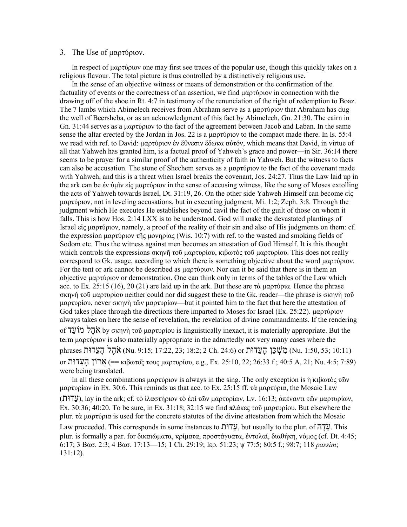#### 3. The Use of μαρτύριον.

In respect of μαρτύριον one may first see traces of the popular use, though this quickly takes on a religious flavour. The total picture is thus controlled by a distinctively religious use.

In the sense of an objective witness or means of demonstration or the confirmation of the factuality of events or the correctness of an assertion, we find μαρτύριον in connection with the drawing off of the shoe in Rt. 4:7 in testimony of the renunciation of the right of redemption to Boaz. The 7 lambs which Abimelech receives from Abraham serve as a μαρτύριον that Abraham has dug the well of Beersheba, or as an acknowledgment of this fact by Abimelech, Gn. 21:30. The cairn in Gn. 31:44 serves as a μαρτύριον to the fact of the agreement between Jacob and Laban. In the same sense the altar erected by the Jordan in Jos. 22 is a μαρτύριον to the compact made there. In Is. 55:4 we read with ref. to David: μαρτύριον ἐν ἔθνεσιν ἔδωκα αὐτόν, which means that David, in virtue of all that Yahweh has granted him, is a factual proof of Yahweh's grace and power—in Sir. 36:14 there seems to be prayer for a similar proof of the authenticity of faith in Yahweh. But the witness to facts can also be accusation. The stone of Shechem serves as a  $\mu\alpha$   $\beta$  to the fact of the covenant made with Yahweh, and this is a threat when Israel breaks the covenant, Jos. 24:27. Thus the Law laid up in the ark can be ἐν ὑμῖν εἰς μαρτύριον in the sense of accusing witness, like the song of Moses extolling the acts of Yahweh towards Israel, Dt. 31:19, 26. On the other side Yahweh Himself can become εἰς μαρτύριον, not in leveling accusations, but in executing judgment, Mi. 1:2; Zeph. 3:8. Through the judgment which He executes He establishes beyond cavil the fact of the guilt of those on whom it falls. This is how Hos. 2:14 LXX is to be understood. God will make the devastated plantings of Israel εἰς μαρτύριον, namely, a proof of the reality of their sin and also of His judgments on them: cf. the expression μαρτύριον τῆς μονηρίας (Wis. 10:7) with ref. to the wasted and smoking fields of Sodom etc. Thus the witness against men becomes an attestation of God Himself. It is this thought which controls the expressions σκηνῆ τοῦ μαρτυρίου, κιβωτὸς τοῦ μαρτυρίου. This does not really correspond to Gk. usage, according to which there is something objective about the word μαρτύριον. For the tent or ark cannot be described as μαρτύριον. Nor can it be said that there is in them an objective μαρτύριον or demonstration. One can think only in terms of the tables of the Law which acc. to Ex. 25:15 (16), 20 (21) are laid up in the ark. But these are τὰ μαρτύρια. Hence the phrase σκηνὴ τοῦ μαρτυρίου neither could nor did suggest these to the Gk. reader—the phrase is σκηνὴ τοῦ μαρτυρίου, never σκηνὴ τῶν μαρτυρίων—but it pointed him to the fact that here the attestation of God takes place through the directions there imparted to Moses for Israel (Ex. 25:22). μαρτύριον always takes on here the sense of revelation, the revelation of divine commandments. If the rendering of דֵמוֹע לֶהֹא by σκηνὴ τοῦ μαρτυρίου is linguistically inexact, it is materially appropriate. But the term μαρτύριον is also materially appropriate in the admittedly not very many cases where the phrases (10:11 הֵל הַעֲדוּת (10:4:6 or) 24:6 .Ch. 24:6 הַעֲדוּת (Nu. 9:15; 17:22, 23; 18:2; 2 $\dot{x}$ or **ΓΙ' ΣΥΓ** (== κιβωτος τους μαρτυρίου, e.g., Ex. 25:10, 22; 26:33 f.; 40:5 A, 21; Nu. 4:5; 7:89) were being translated.

In all these combinations μαρτύριον is always in the sing. The only exception is ἡ κιβωτὸς τῶν μαρτυρίων in Ex. 30:6. This reminds us that acc. to Ex. 25:15 ff. τὰ μαρτύρια, the Mosaic Law (עֲדוּת), lay in the ark; cf. τὸ ἱλαστήριον τὸ ἐπὶ τῶν μαρτυρίων, Lv. 16:13; ἀπέναντι τῶν μαρτυρίων, Ex. 30:36; 40:20. To be sure, in Ex. 31:18; 32:15 we find πλάκες τοῦ μαρτυρίου. But elsewhere the plur. τὰ μαρτύρια is used for the concrete statutes of the divine attestation from which the Mosaic Law proceeded. This corresponds in some instances to  $\overline{D}$  U. but usually to the plur. of  $\overline{D}$ . This plur. is formally a par. for δικαιώματα, κρίματα, προστάγυατα, ἐντολαί, διαθήκη, νόμος (cf. Dt. 4:45; 6:17; 3 Βασ. 2:3; 4 Βασ. 17:13—15; 1 Ch. 29:19; Ιερ. 51:23; ψ 77:5; 80:5 f.; 98:7; 118 *passim*; 131:12).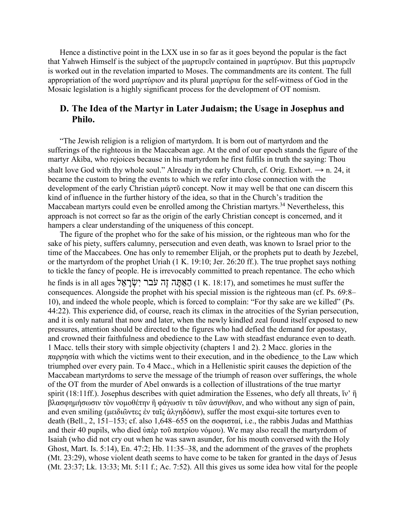Hence a distinctive point in the LXX use in so far as it goes beyond the popular is the fact that Yahweh Himself is the subject of the μαρτυρεῖν contained in μαρτύριον. But this μαρτυρεῖν is worked out in the revelation imparted to Moses. The commandments are its content. The full appropriation of the word μαρτύριον and its plural μαρτύρια for the self-witness of God in the Mosaic legislation is a highly significant process for the development of OT nomism.

## **D. The Idea of the Martyr in Later Judaism; the Usage in Josephus and Philo.**

"The Jewish religion is a religion of martyrdom. It is born out of martyrdom and the sufferings of the righteous in the Maccabean age. At the end of our epoch stands the figure of the martyr Akiba, who rejoices because in his martyrdom he first fulfils in truth the saying: Thou shalt love God with thy whole soul." Already in the early Church, cf. Orig. Exhort. **→** n. 24, it became the custom to bring the events to which we refer into close connection with the development of the early Christian μάρτῦ concept. Now it may well be that one can discern this kind of influence in the further history of the idea, so that in the Church's tradition the Maccabean martyrs could even be enrolled among the Christian martyrs.<sup>34</sup> Nevertheless, this approach is not correct so far as the origin of the early Christian concept is concerned, and it hampers a clear understanding of the uniqueness of this concept.

The figure of the prophet who for the sake of his mission, or the righteous man who for the sake of his piety, suffers calumny, persecution and even death, was known to Israel prior to the time of the Maccabees. One has only to remember Elijah, or the prophets put to death by Jezebel, or the martyrdom of the prophet Uriah (1 K. 19:10; Jer. 26:20 ff.). The true prophet says nothing to tickle the fancy of people. He is irrevocably committed to preach repentance. The echo which he finds is in all ages הְאֲתָּה זֶה עֹבר יִשְׂרָאֵל ( $1$  K.  $18:17$ ), and sometimes he must suffer the consequences. Alongside the prophet with his special mission is the righteous man (cf. Ps. 69:8– 10), and indeed the whole people, which is forced to complain: "For thy sake are we killed" (Ps. 44:22). This experience did, of course, reach its climax in the atrocities of the Syrian persecution, and it is only natural that now and later, when the newly kindled zeal found itself exposed to new pressures, attention should be directed to the figures who had defied the demand for apostasy, and crowned their faithfulness and obedience to the Law with steadfast endurance even to death. 1 Macc. tells their story with simple objectivity (chapters 1 and 2). 2 Macc. glories in the  $παρρησία$  with which the victims went to their execution, and in the obedience to the Law which triumphed over every pain. To 4 Macc., which in a Hellenistic spirit causes the depiction of the Maccabean martyrdoms to serve the message of the triumph of reason over sufferings, the whole of the OT from the murder of Abel onwards is a collection of illustrations of the true martyr spirit (18:11ff.). Josephus describes with quiet admiration the Essenes, who defy all threats,  $\ddot{v}$   $\ddot{\eta}$ βλασφημήσωσιν τὸν νομοθέτην ἢ φάγωσίν τι τῶν ἀσυνήθων, and who without any sign of pain, and even smiling (μειδιῶντες ἐν ταῖς ἀλγηδόσιν), suffer the most exqui-site tortures even to death (Bell., 2, 151–153; cf. also 1,648–655 on the σοφισταί, i.e., the rabbis Judas and Matthias and their 40 pupils, who died ὑπὲρ τοῦ πατρίου νόμου). We may also recall the martyrdom of Isaiah (who did not cry out when he was sawn asunder, for his mouth conversed with the Holy Ghost, Mart. Is. 5:14), En. 47:2; Hb. 11:35–38, and the adornment of the graves of the prophets (Mt. 23:29), whose violent death seems to have come to be taken for granted in the days of Jesus (Mt. 23:37; Lk. 13:33; Mt. 5:11 f.; Ac. 7:52). All this gives us some idea how vital for the people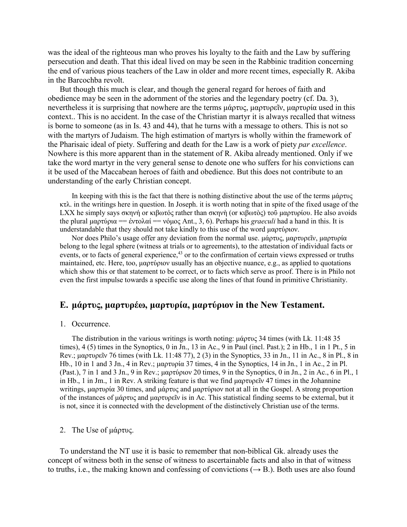was the ideal of the righteous man who proves his loyalty to the faith and the Law by suffering persecution and death. That this ideal lived on may be seen in the Rabbinic tradition concerning the end of various pious teachers of the Law in older and more recent times, especially R. Akiba in the Barcochba revolt.

But though this much is clear, and though the general regard for heroes of faith and obedience may be seen in the adornment of the stories and the legendary poetry (cf. Da. 3), nevertheless it is surprising that nowhere are the terms μάρτυς, μαρτυρεῖν, μαρτυρία used in this context.. This is no accident. In the case of the Christian martyr it is always recalled that witness is borne to someone (as in Is. 43 and 44), that he turns with a message to others. This is not so with the martyrs of Judaism. The high estimation of martyrs is wholly within the framework of the Pharisaic ideal of piety. Suffering and death for the Law is a work of piety *par excellence*. Nowhere is this more apparent than in the statement of R. Akiba already mentioned. Only if we take the word martyr in the very general sense to denote one who suffers for his convictions can it be used of the Maccabean heroes of faith and obedience. But this does not contribute to an understanding of the early Christian concept.

In keeping with this is the fact that there is nothing distinctive about the use of the terms μάρτυς κτλ. in the writings here in question. In Joseph. it is worth noting that in spite of the fixed usage of the LXX he simply says σκηνή or κιβωτός rather than σκηνὴ (or κιβωτὸς) τοῦ μαρτυρίου. He also avoids the plural μαρτύρια == ἐντολαί == νόμος Ant., 3, 6). Perhaps his *graeculi* had a hand in this. It is understandable that they should not take kindly to this use of the word μαρτύριον.

Nor does Philo's usage offer any deviation from the normal use. μάρτυς, μαρτυρεῖν, μαρτυρία belong to the legal sphere (witness at trials or to agreements), to the attestation of individual facts or events, or to facts of general experience,<sup>43</sup> or to the confirmation of certain views expressed or truths maintained, etc. Here, too, μαρτύριον usually has an objective nuance, e.g., as applied to quotations which show this or that statement to be correct, or to facts which serve as proof. There is in Philo not even the first impulse towards a specific use along the lines of that found in primitive Christianity.

# **E. μάρτυς, μαρτυρέω, μαρτυρία, μαρτύριον in the New Testament.**

### 1. Occurrence.

The distribution in the various writings is worth noting: μάρτυς 34 times (with Lk. 11:48 35 times), 4 (5) times in the Synoptics, 0 in Jn., 13 in Ac., 9 in Paul (incl. Past.); 2 in Hb., 1 in 1 Pt., 5 in Rev.; μαρτυρεῖν 76 times (with Lk. 11:48 77), 2 (3) in the Synoptics, 33 in Jn., 11 in Ac., 8 in Pl., 8 in Hb., 10 in 1 and 3 Jn., 4 in Rev.; μαρτυρία 37 times, 4 in the Synoptics, 14 in Jn., 1 in Ac., 2 in Pl. (Past.), 7 in 1 and 3 Jn., 9 in Rev.; μαρτύριον 20 times, 9 in the Synoptics, 0 in Jn., 2 in Ac., 6 in Pl., 1 in Hb., 1 in Jm., 1 in Rev. A striking feature is that we find μαρτυρεῖν 47 times in the Johannine writings, μαρτυρία 30 times, and μάρτυς and μαρτύριον not at all in the Gospel. A strong proportion of the instances of μάρτυς and μαρτυρεῖν is in Ac. This statistical finding seems to be external, but it is not, since it is connected with the development of the distinctively Christian use of the terms.

2. The Use of μάρτυς.

To understand the NT use it is basic to remember that non-biblical Gk. already uses the concept of witness both in the sense of witness to ascertainable facts and also in that of witness to truths, i.e., the making known and confessing of convictions ( $\rightarrow$  B.). Both uses are also found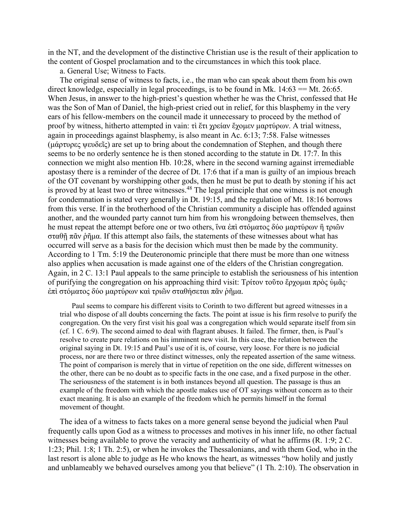in the NT, and the development of the distinctive Christian use is the result of their application to the content of Gospel proclamation and to the circumstances in which this took place.

a. General Use; Witness to Facts.

The original sense of witness to facts, i.e., the man who can speak about them from his own direct knowledge, especially in legal proceedings, is to be found in Mk.  $14:63 = Mt$ .  $26:65$ . When Jesus, in answer to the high-priest's question whether he was the Christ, confessed that He was the Son of Man of Daniel, the high-priest cried out in relief, for this blasphemy in the very ears of his fellow-members on the council made it unnecessary to proceed by the method of proof by witness, hitherto attempted in vain: τὶ ἔτι χρείαν ἔχομεν μαρτύρων. A trial witness, again in proceedings against blasphemy, is also meant in Ac. 6:13; 7:58. False witnesses (μάρτυρες ψευδεῖς) are set up to bring about the condemnation of Stephen, and though there seems to be no orderly sentence he is then stoned according to the statute in Dt. 17:7. In this connection we might also mention Hb. 10:28, where in the second warning against irremediable apostasy there is a reminder of the decree of Dt. 17:6 that if a man is guilty of an impious breach of the OT covenant by worshipping other gods, then he must be put to death by stoning if his act is proved by at least two or three witnesses.<sup>48</sup> The legal principle that one witness is not enough for condemnation is stated very generally in Dt. 19:15, and the regulation of Mt. 18:16 borrows from this verse. If in the brotherhood of the Christian community a disciple has offended against another, and the wounded party cannot turn him from his wrongdoing between themselves, then he must repeat the attempt before one or two others, ἵνα ἐπὶ στόματος δύο μαρτύρων ἢ τριῶν σταθῇ πᾶν ῥῆμα. If this attempt also fails, the statements of these witnesses about what has occurred will serve as a basis for the decision which must then be made by the community. According to 1 Tm. 5:19 the Deuteronomic principle that there must be more than one witness also applies when accusation is made against one of the elders of the Christian congregation. Again, in 2 C. 13:1 Paul appeals to the same principle to establish the seriousness of his intention of purifying the congregation on his approaching third visit: Τρίτον τοῦτο ἔρχομαι πρὸς ὑμᾶς· ἐπὶ στόματος δύο μαρτύρων καὶ τριῶν σταθήσεται πᾶν ῥῆμα.

Paul seems to compare his different visits to Corinth to two different but agreed witnesses in a trial who dispose of all doubts concerning the facts. The point at issue is his firm resolve to purify the congregation. On the very first visit his goal was a congregation which would separate itself from sin (cf. 1 C. 6:9). The second aimed to deal with flagrant abuses. It failed. The firmer, then, is Paul's resolve to create pure relations on his imminent new visit. In this case, the relation between the original saying in Dt. 19:15 and Paul's use of it is, of course, very loose. For there is no judicial process, nor are there two or three distinct witnesses, only the repeated assertion of the same witness. The point of comparison is merely that in virtue of repetition on the one side, different witnesses on the other, there can be no doubt as to specific facts in the one case, and a fixed purpose in the other. The seriousness of the statement is in both instances beyond all question. The passage is thus an example of the freedom with which the apostle makes use of OT sayings without concern as to their exact meaning. It is also an example of the freedom which he permits himself in the formal movement of thought.

The idea of a witness to facts takes on a more general sense beyond the judicial when Paul frequently calls upon God as a witness to processes and motives in his inner life, no other factual witnesses being available to prove the veracity and authenticity of what he affirms (R. 1:9; 2 C. 1:23; Phil. 1:8; 1 Th. 2:5), or when he invokes the Thessalonians, and with them God, who in the last resort is alone able to judge as He who knows the heart, as witnesses "how holily and justly and unblameably we behaved ourselves among you that believe" (1 Th. 2:10). The observation in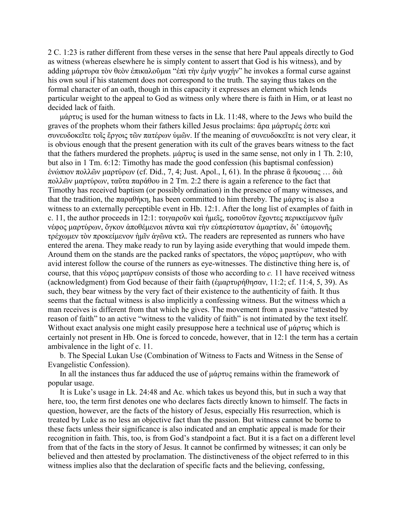2 C. 1:23 is rather different from these verses in the sense that here Paul appeals directly to God as witness (whereas elsewhere he is simply content to assert that God is his witness), and by adding μάρτυρα τὸν θεὸν ἐπικαλοῦμαι "ἐπὶ τὴν ἐμὴν ψυχήν" he invokes a formal curse against his own soul if his statement does not correspond to the truth. The saying thus takes on the formal character of an oath, though in this capacity it expresses an element which lends particular weight to the appeal to God as witness only where there is faith in Him, or at least no decided lack of faith.

μάρτυς is used for the human witness to facts in Lk. 11:48, where to the Jews who build the graves of the prophets whom their fathers killed Jesus proclaims: ἄρα μάρτυρές ἐστε καὶ συνευδοκεῖτε τοῖς ἔργοις τῶν πατέρων ὑμῶν. If the meaning of συνευδοκεῖτε is not very clear, it is obvious enough that the present generation with its cult of the graves bears witness to the fact that the fathers murdered the prophets. μάρτυς is used in the same sense, not only in 1 Th. 2:10, but also in 1 Tm. 6:12: Timothy has made the good confession (his baptismal confession) ἐνώπιον πολλῶν μαρτύρων (cf. Did., 7, 4; Just. Apol., I, 61). In the phrase ἃ ἤκουσας … διὰ πολλῶν μαρτύρων, ταῦτα παράθου in 2 Tm. 2:2 there is again a reference to the fact that Timothy has received baptism (or possibly ordination) in the presence of many witnesses, and that the tradition, the παραθήκη, has been committed to him thereby. The μάρτυς is also a witness to an externally perceptible event in Hb. 12:1. After the long list of examples of faith in c. 11, the author proceeds in 12:1: τοιγαροῦν καὶ ἡμεῖς, τοσοῦτον ἔχοντες περικείμενον ἡμῖν νέφος μαρτύρων, ὄγκον ἀποθέμενοι πάντα καὶ τὴν εὐπερίστατον ἁμαρτίαν, δι' ὑπομονῆς τρέχωμεν τὸν προκείμενον ἡμῖν ἀγῶνα κτλ. The readers are represented as runners who have entered the arena. They make ready to run by laying aside everything that would impede them. Around them on the stands are the packed ranks of spectators, the νέφος μαρτύρων, who with avid interest follow the course of the runners as eye-witnesses. The distinctive thing here is, of course, that this νέφος μαρτύρων consists of those who according to *c.* 11 have received witness (acknowledgment) from God because of their faith (ἐμαρτυρήθησαν, 11:2; cf. 11:4, 5, 39). As such, they bear witness by the very fact of their existence to the authenticity of faith. It thus seems that the factual witness is also implicitly a confessing witness. But the witness which a man receives is different from that which he gives. The movement from a passive "attested by reason of faith" to an active "witness to the validity of faith" is not intimated by the text itself. Without exact analysis one might easily presuppose here a technical use of μάρτυς which is certainly not present in Hb. One is forced to concede, however, that in 12:1 the term has a certain ambivalence in the light of c. 11.

b. The Special Lukan Use (Combination of Witness to Facts and Witness in the Sense of Evangelistic Confession).

In all the instances thus far adduced the use of μάρτυς remains within the framework of popular usage.

It is Luke's usage in Lk. 24:48 and Ac. which takes us beyond this, but in such a way that here, too, the term first denotes one who declares facts directly known to himself. The facts in question, however, are the facts of the history of Jesus, especially His resurrection, which is treated by Luke as no less an objective fact than the passion. But witness cannot be borne to these facts unless their significance is also indicated and an emphatic appeal is made for their recognition in faith. This, too, is from God's standpoint a fact. But it is a fact on a different level from that of the facts in the story of Jesus. It cannot be confirmed by witnesses; it can only be believed and then attested by proclamation. The distinctiveness of the object referred to in this witness implies also that the declaration of specific facts and the believing, confessing,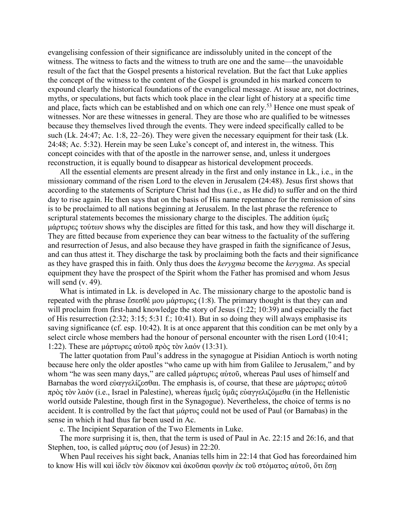evangelising confession of their significance are indissolubly united in the concept of the witness. The witness to facts and the witness to truth are one and the same—the unavoidable result of the fact that the Gospel presents a historical revelation. But the fact that Luke applies the concept of the witness to the content of the Gospel is grounded in his marked concern to expound clearly the historical foundations of the evangelical message. At issue are, not doctrines, myths, or speculations, but facts which took place in the clear light of history at a specific time and place, facts which can be established and on which one can rely.<sup>53</sup> Hence one must speak of witnesses. Nor are these witnesses in general. They are those who are qualified to be witnesses because they themselves lived through the events. They were indeed specifically called to be such (Lk. 24:47; Ac. 1:8, 22–26). They were given the necessary equipment for their task (Lk. 24:48; Ac. 5:32). Herein may be seen Luke's concept of, and interest in, the witness. This concept coincides with that of the apostle in the narrower sense, and, unless it undergoes reconstruction, it is equally bound to disappear as historical development proceeds.

All the essential elements are present already in the first and only instance in Lk., i.e., in the missionary command of the risen Lord to the eleven in Jerusalem (24:48). Jesus first shows that according to the statements of Scripture Christ had thus (i.e., as He did) to suffer and on the third day to rise again. He then says that on the basis of His name repentance for the remission of sins is to be proclaimed to all nations beginning at Jerusalem. In the last phrase the reference to scriptural statements becomes the missionary charge to the disciples. The addition ὑμεῖς μάρτυρες τούτων shows why the disciples are fitted for this task, and how they will discharge it. They are fitted because from experience they can bear witness to the factuality of the suffering and resurrection of Jesus, and also because they have grasped in faith the significance of Jesus, and can thus attest it. They discharge the task by proclaiming both the facts and their significance as they have grasped this in faith. Only thus does the *kerygma* become the *kerygma*. As special equipment they have the prospect of the Spirit whom the Father has promised and whom Jesus will send (v. 49).

What is intimated in Lk. is developed in Ac. The missionary charge to the apostolic band is repeated with the phrase ἔσεσθέ μου μάρτυρες (1:8). The primary thought is that they can and will proclaim from first-hand knowledge the story of Jesus (1:22; 10:39) and especially the fact of His resurrection (2:32; 3:15; 5:31 f.; 10:41). But in so doing they will always emphasise its saving significance (cf. esp. 10:42). It is at once apparent that this condition can be met only by a select circle whose members had the honour of personal encounter with the risen Lord (10:41; 1:22). These are μάρτυρες αὐτοῦ πρὸς τὸν λαόν (13:31).

The latter quotation from Paul's address in the synagogue at Pisidian Antioch is worth noting because here only the older apostles "who came up with him from Galilee to Jerusalem," and by whom "he was seen many days," are called μάρτυρες αὐτοῦ, whereas Paul uses of himself and Barnabas the word εὐαγγελίζεσθαι. The emphasis is, of course, that these are μάρτυρες αὐτοῦ πρὸς τὸν λαόν (i.e., Israel in Palestine), whereas ἡμεῖς ὑμᾶς εὐαγγελιζόμεθα (in the Hellenistic world outside Palestine, though first in the Synagogue). Nevertheless, the choice of terms is no accident. It is controlled by the fact that μάρτυς could not be used of Paul (or Barnabas) in the sense in which it had thus far been used in Ac.

c. The Incipient Separation of the Two Elements in Luke.

The more surprising it is, then, that the term is used of Paul in Ac. 22:15 and 26:16, and that Stephen, too, is called μάρτυς σου (of Jesus) in 22:20.

When Paul receives his sight back, Ananias tells him in 22:14 that God has foreordained him to know His will καὶ ἰδεῖν τὸν δίκαιον καὶ ἀκοῦσαι φωνὴν ἐκ τοῦ στόματος αὐτοῦ, ὅτι ἔσῃ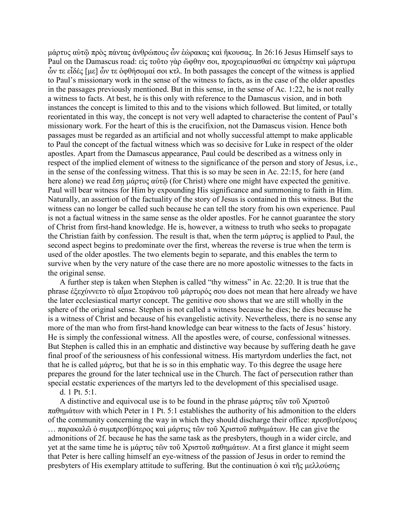μάρτυς αὐτῷ πρὸς πάντας ἀνθρώπους ὧν ἑώρακας καὶ ἤκουσας. In 26:16 Jesus Himself says to Paul on the Damascus road: εἰς τοῦτο γὰρ ὤφθην σοι, προχειρίσασθαί σε ὑπηρέτην καὶ μάρτυρα ὧν τε εἶδές [με] ὧν τε ὀφθήσομαί σοι κτλ. In both passages the concept of the witness is applied to Paul's missionary work in the sense of the witness to facts, as in the case of the older apostles in the passages previously mentioned. But in this sense, in the sense of Ac. 1:22, he is not really a witness to facts. At best, he is this only with reference to the Damascus vision, and in both instances the concept is limited to this and to the visions which followed. But limited, or totally reorientated in this way, the concept is not very well adapted to characterise the content of Paul's missionary work. For the heart of this is the crucifixion, not the Damascus vision. Hence both passages must be regarded as an artificial and not wholly successful attempt to make applicable to Paul the concept of the factual witness which was so decisive for Luke in respect of the older apostles. Apart from the Damascus appearance, Paul could be described as a witness only in respect of the implied element of witness to the significance of the person and story of Jesus, i.e., in the sense of the confessing witness. That this is so may be seen in Ac. 22:15, for here (and here alone) we read ἔσῃ μάρτυς αὐτῷ (for Christ) where one might have expected the genitive. Paul will bear witness for Him by expounding His significance and summoning to faith in Him. Naturally, an assertion of the factuality of the story of Jesus is contained in this witness. But the witness can no longer be called such because he can tell the story from his own experience. Paul is not a factual witness in the same sense as the older apostles. For he cannot guarantee the story of Christ from first-hand knowledge. He is, however, a witness to truth who seeks to propagate the Christian faith by confession. The result is that, when the term μάρτυς is applied to Paul, the second aspect begins to predominate over the first, whereas the reverse is true when the term is used of the older apostles. The two elements begin to separate, and this enables the term to survive when by the very nature of the case there are no more apostolic witnesses to the facts in the original sense.

A further step is taken when Stephen is called "thy witness" in Ac. 22:20. It is true that the phrase ἐξεχύννετο τὸ αἷμα Στεφάνου τοῦ μάρτυρός σου does not mean that here already we have the later ecclesiastical martyr concept. The genitive σου shows that we are still wholly in the sphere of the original sense. Stephen is not called a witness because he dies; he dies because he is a witness of Christ and because of his evangelistic activity. Nevertheless, there is no sense any more of the man who from first-hand knowledge can bear witness to the facts of Jesus' history. He is simply the confessional witness. All the apostles were, of course, confessional witnesses. But Stephen is called this in an emphatic and distinctive way because by suffering death he gave final proof of the seriousness of his confessional witness. His martyrdom underlies the fact, not that he is called μάρτυς, but that he is so in this emphatic way. To this degree the usage here prepares the ground for the later technical use in the Church. The fact of persecution rather than special ecstatic experiences of the martyrs led to the development of this specialised usage.

d. 1 Pt. 5:1.

A distinctive and equivocal use is to be found in the phrase μάρτυς τῶν τοῦ Χριστοῦ παθημάτων with which Peter in 1 Pt. 5:1 establishes the authority of his admonition to the elders of the community concerning the way in which they should discharge their office: πρεσβυτέρους … παρακαλῶ ὁ συμπρεσβύτερος καὶ μάρτυς τῶν τοῦ Χριστοῦ παθημάτων. He can give the admonitions of 2f. because he has the same task as the presbyters, though in a wider circle, and yet at the same time he is μάρτυς τῶν τοῦ Χριστοῦ παθημάτων. At a first glance it might seem that Peter is here calling himself an eye-witness of the passion of Jesus in order to remind the presbyters of His exemplary attitude to suffering. But the continuation ὁ καὶ τῆς μελλούσης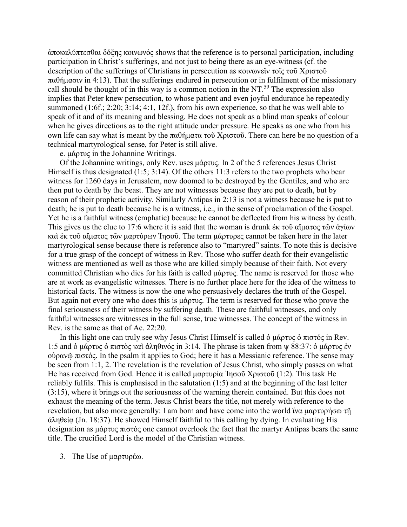ἀποκαλύπτεσθαι δόξης κοινωνός shows that the reference is to personal participation, including participation in Christ's sufferings, and not just to being there as an eye-witness (cf. the description of the sufferings of Christians in persecution as κοινωνεῖν τοῖς τοῦ Χριστοῦ παθήμασιν in 4:13). That the sufferings endured in persecution or in fulfilment of the missionary call should be thought of in this way is a common notion in the  $NT<sup>59</sup>$ . The expression also implies that Peter knew persecution, to whose patient and even joyful endurance he repeatedly summoned (1:6f.; 2:20; 3:14; 4:1, 12f.), from his own experience, so that he was well able to speak of it and of its meaning and blessing. He does not speak as a blind man speaks of colour when he gives directions as to the right attitude under pressure. He speaks as one who from his own life can say what is meant by the παθήματα τοῦ Χριστοῦ. There can here be no question of a technical martyrological sense, for Peter is still alive.

e. μάρτυς in the Johannine Writings.

Of the Johannine writings, only Rev. uses μάρτυς. In 2 of the 5 references Jesus Christ Himself is thus designated (1:5; 3:14). Of the others 11:3 refers to the two prophets who bear witness for 1260 days in Jerusalem, now doomed to be destroyed by the Gentiles, and who are then put to death by the beast. They are not witnesses because they are put to death, but by reason of their prophetic activity. Similarly Antipas in 2:13 is not a witness because he is put to death; he is put to death because he is a witness, i.e., in the sense of proclamation of the Gospel. Yet he is a faithful witness (emphatic) because he cannot be deflected from his witness by death. This gives us the clue to 17:6 where it is said that the woman is drunk ἐκ τοῦ αἵματος τῶν ἁγίων καὶ ἐκ τοῦ αἵματος τῶν μαρτύρων Ἰησοῦ. The term μάρτυρες cannot be taken here in the later martyrological sense because there is reference also to "martyred" saints. To note this is decisive for a true grasp of the concept of witness in Rev. Those who suffer death for their evangelistic witness are mentioned as well as those who are killed simply because of their faith. Not every committed Christian who dies for his faith is called μάρτυς. The name is reserved for those who are at work as evangelistic witnesses. There is no further place here for the idea of the witness to historical facts. The witness is now the one who persuasively declares the truth of the Gospel. But again not every one who does this is μάρτυς. The term is reserved for those who prove the final seriousness of their witness by suffering death. These are faithful witnesses, and only faithful witnesses are witnesses in the full sense, true witnesses. The concept of the witness in Rev. is the same as that of Ac. 22:20.

In this light one can truly see why Jesus Christ Himself is called ὁ μάρτυς ὁ πιστός in Rev. 1:5 and ὁ μάρτυς ὁ πιστὸς καὶ ἀληθινός in 3:14. The phrase is taken from ψ 88:37: ὁ μάρτυς ἐν οὐρανῷ πιστός. In the psalm it applies to God; here it has a Messianic reference. The sense may be seen from 1:1, 2. The revelation is the revelation of Jesus Christ, who simply passes on what He has received from God. Hence it is called μαρτυρία Ἰησοῦ Χριστοῦ (1:2). This task He reliably fulfils. This is emphasised in the salutation (1:5) and at the beginning of the last letter (3:15), where it brings out the seriousness of the warning therein contained. But this does not exhaust the meaning of the term. Jesus Christ bears the title, not merely with reference to the revelation, but also more generally: I am born and have come into the world ἵνα μαρτυρήσω τῇ ἀληθείᾳ (Jn. 18:37). He showed Himself faithful to this calling by dying. In evaluating His designation as μάρτυς πιστός one cannot overlook the fact that the martyr Antipas bears the same title. The crucified Lord is the model of the Christian witness.

3. The Use of μαρτυρέω.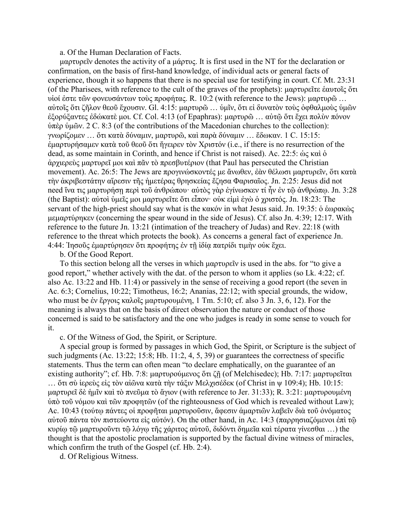#### a. Of the Human Declaration of Facts.

μαρτυρεῖν denotes the activity of a μάρτυς. It is first used in the NT for the declaration or confirmation, on the basis of first-hand knowledge, of individual acts or general facts of experience, though it so happens that there is no special use for testifying in court. Cf. Mt. 23:31 (of the Pharisees, with reference to the cult of the graves of the prophets): μαρτυρεῖτε ἑαυτοῖς ὅτι υίοί έστε τῶν φονευσάντων τοὺς προφήτας. R. 10:2 (with reference to the Jews): μαρτυρῶ ... αὐτοῖς ὅτι ζῆλον θεοῦ ἔχουσιν. Gl. 4:15: μαρτυρῶ … ὑμῖν, ὅτι εἰ δυνατὸν τοὺς ὀφθαλμοὺς ὑμῶν ἐξορύξαντες ἐδώκατὲ μοι. Cf. Col. 4:13 (of Epaphras): μαρτυρῶ … αὐτῷ ὅτι ἔχει πολὺν πόνον ὑπὲρ ὑμῶν. 2 C. 8:3 (of the contributions of the Macedonian churches to the collection): γνωρίζομεν … ὅτι κατὰ δύναμιν, μαρτυρῶ, καὶ παρὰ δύναμιν … ἔδωκαν. 1 C. 15:15: ἐμαρτυρήσαμεν κατὰ τοῦ θεοῦ ὅτι ἤγειρεν τὸν Χριστόν (i.e., if there is no resurrection of the dead, as some maintain in Corinth, and hence if Christ is not raised). Ac. 22:5: ὡς καὶ ὁ άρχιερεὺς μαρτυρεῖ μοι καὶ πᾶν τὸ πρεσβυτέριον (that Paul has persecuted the Christian movement). Ac. 26:5: The Jews are προγινώσκοντές με ἄνωθεν, ἐὰν θέλωσι μαρτυρεῖν, ὅτι κατὰ τὴν ἀκριβεστάτην αἵρεσιν τῆς ἡμετέρας θρησκείας ἔζησα Φαρισαῖος. Jn. 2:25: Jesus did not need ἵνα τις μαρτυρήσῃ περὶ τοῦ ἀνθρώπου· αὐτὸς γὰρ ἐγίνωσκεν τί ἦν ἐν τῷ ἀνθρώπῳ. Jn. 3:28 (the Baptist): αὐτοὶ ὑμεῖς μοι μαρτυρεῖτε ὅτι εἶπον· οὐκ εἰμὶ ἐγὼ ὁ χριστός. Jn. 18:23: The servant of the high-priest should say what is the κακόν in what Jesus said. Jn. 19:35: ὁ ἑωρακὼς μεμαρτύρηκεν (concerning the spear wound in the side of Jesus). Cf. also Jn. 4:39; 12:17. With reference to the future Jn. 13:21 (intimation of the treachery of Judas) and Rev. 22:18 (with reference to the threat which protects the book). As concerns a general fact of experience Jn. 4:44: Ἰησοῦς ἐμαρτύρησεν ὅτι προφήτης ἐν τῇ ἰδίᾳ πατρίδι τιμὴν οὐκ ἔχει.

b. Of the Good Report.

To this section belong all the verses in which μαρτυρεῖν is used in the abs. for "to give a good report," whether actively with the dat. of the person to whom it applies (so Lk. 4:22; cf. also Ac. 13:22 and Hb. 11:4) or passively in the sense of receiving a good report (the seven in Ac. 6:3; Cornelius, 10:22; Timotheus, 16:2; Ananias, 22:12; with special grounds, the widow, who must be ἐν ἔργοις καλοῖς μαρτυρουμένη, 1 Tm. 5:10; cf. also 3 Jn. 3, 6, 12). For the meaning is always that on the basis of direct observation the nature or conduct of those concerned is said to be satisfactory and the one who judges is ready in some sense to vouch for it.

c. Of the Witness of God, the Spirit, or Scripture.

A special group is formed by passages in which God, the Spirit, or Scripture is the subject of such judgments (Ac. 13:22; 15:8; Hb. 11:2, 4, 5, 39) or guarantees the correctness of specific statements. Thus the term can often mean "to declare emphatically, on the guarantee of an existing authority"; cf. Hb. 7:8: μαρτυρούμενος ὅτι ζῇ (of Melchisedec); Hb. 7:17: μαρτυρεῖται … ὅτι σὺ ἱερεὺς εἰς τὸν αἰῶνα κατὰ τὴν τάξιν Μελχισέδεκ (of Christ in ψ 109:4); Hb. 10:15: μαρτυρεῖ δὲ ἡμῖν καὶ τὸ πνεῦμα τὸ ἄγιον (with reference to Jer. 31:33); R. 3:21: μαρτυρουμένη ὑπὸ τοῦ νόμου καὶ τῶν προφητῶν (of the righteousness of God which is revealed without Law); Ac. 10:43 (τούτῳ πάντες οἱ προφῆται μαρτυροῦσιν, ἄφεσιν ἁμαρτιῶν λαβεῖν διὰ τοῦ ὀνόματος αὐτοῦ πάντα τὸν πιστεύοντα εἰς αὐτόν). On the other hand, in Ac. 14:3 (παρρησιαζόμενοι ἐπὶ τῷ κυρίῳ τῷ μαρτυροῦντι τῷ λόγῳ τῆς χάριτος αὐτοῦ, διδόντι δημεῖα καὶ τέρατα γίνεσθαι …) the thought is that the apostolic proclamation is supported by the factual divine witness of miracles, which confirm the truth of the Gospel (cf. Hb. 2:4).

d. Of Religious Witness.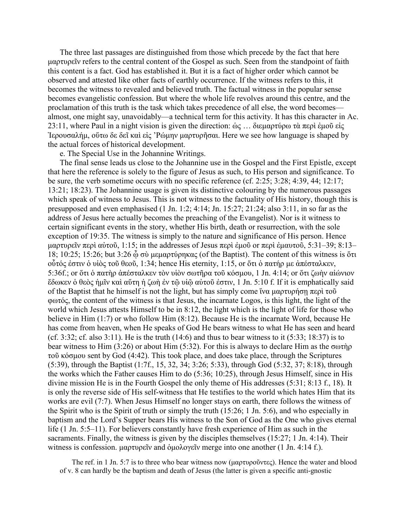The three last passages are distinguished from those which precede by the fact that here μαρτυρεῖν refers to the central content of the Gospel as such. Seen from the standpoint of faith this content is a fact. God has established it. But it is a fact of higher order which cannot be observed and attested like other facts of earthly occurrence. If the witness refers to this, it becomes the witness to revealed and believed truth. The factual witness in the popular sense becomes evangelistic confession. But where the whole life revolves around this centre, and the proclamation of this truth is the task which takes precedence of all else, the word becomes almost, one might say, unavoidably—a technical term for this activity. It has this character in Ac. 23:11, where Paul in a night vision is given the direction: ώς ... διεμαρτύρω τὰ περὶ ἐμοῦ εἰς Ἰερουσαλήμ, οὕτω δε δεῖ καὶ εἰς 'Ρώμην μαρτυρῆσαι. Here we see how language is shaped by the actual forces of historical development.

e. The Special Use in the Johannine Writings.

The final sense leads us close to the Johannine use in the Gospel and the First Epistle, except that here the reference is solely to the figure of Jesus as such, to His person and significance. To be sure, the verb sometime occurs with no specific reference (cf. 2:25; 3:28; 4:39, 44; 12:17; 13:21; 18:23). The Johannine usage is given its distinctive colouring by the numerous passages which speak of witness to Jesus. This is not witness to the factuality of His history, though this is presupposed and even emphasised (1 Jn. 1:2; 4:14; Jn. 15:27; 21:24; also 3:11, in so far as the address of Jesus here actually becomes the preaching of the Evangelist). Nor is it witness to certain significant events in the story, whether His birth, death or resurrection, with the sole exception of 19:35. The witness is simply to the nature and significance of His person. Hence μαρτυρεῖν περὶ αὐτοῦ, 1:15; in the addresses of Jesus περὶ ἐμοῦ or περὶ ἐμαυτοῦ, 5:31–39; 8:13– 18; 10:25; 15:26; but 3:26  $\tilde{\phi}$  σὺ μεμαρτύρηκας (of the Baptist). The content of this witness is ὅτι οὗτός ἐστιν ὁ υἱὸς τοῦ θεοῦ, 1:34; hence His eternity, 1:15, or ὅτι ὁ πατήρ με ἀπέσταλκεν, 5:36f.; or ὅτι ὁ πατὴρ ἀπέσταλκεν τὸν υἱὸν σωτῆρα τοῦ κόσμου, 1 Jn. 4:14; or ὅτι ζωὴν αἰώνιον ἔδωκεν ὁ θεὸς ἡμῖν καὶ αὕτη ἡ ζωὴ ἐν τῷ υἱῷ αὐτοῦ ἐστιν, 1 Jn. 5:10 f. If it is emphatically said of the Baptist that he himself is not the light, but has simply come ίνα μαρτυρήση περὶ τοῦ φωτός, the content of the witness is that Jesus, the incarnate Logos, is this light, the light of the world which Jesus attests Himself to be in 8:12, the light which is the light of life for those who believe in Him (1:7) or who follow Him (8:12). Because He is the incarnate Word, because He has come from heaven, when He speaks of God He bears witness to what He has seen and heard (cf. 3:32; cf. also 3:11). He is the truth  $(14:6)$  and thus to bear witness to it  $(5:33; 18:37)$  is to bear witness to Him (3:26) or about Him (5:32). For this is always to declare Him as the σωτὴρ τοῦ κόσμου sent by God (4:42). This took place, and does take place, through the Scriptures (5:39), through the Baptist (1:7f., 15, 32, 34; 3:26; 5:33), through God (5:32, 37; 8:18), through the works which the Father causes Him to do (5:36; 10:25), through Jesus Himself, since in His divine mission He is in the Fourth Gospel the only theme of His addresses (5:31; 8:13 f., 18). It is only the reverse side of His self-witness that He testifies to the world which hates Him that its works are evil (7:7). When Jesus Himself no longer stays on earth, there follows the witness of the Spirit who is the Spirit of truth or simply the truth (15:26; 1 Jn. 5:6), and who especially in baptism and the Lord's Supper bears His witness to the Son of God as the One who gives eternal life (1 Jn. 5:5–11). For believers constantly have fresh experience of Him as such in the sacraments. Finally, the witness is given by the disciples themselves (15:27; 1 Jn. 4:14). Their witness is confession. μαρτυρεῖν and ὁμολογεῖν merge into one another (1 Jn. 4:14 f.).

The ref. in 1 Jn. 5:7 is to three who bear witness now (μαρτυροῦντες). Hence the water and blood of v. 8 can hardly be the baptism and death of Jesus (the latter is given a specific anti-gnostic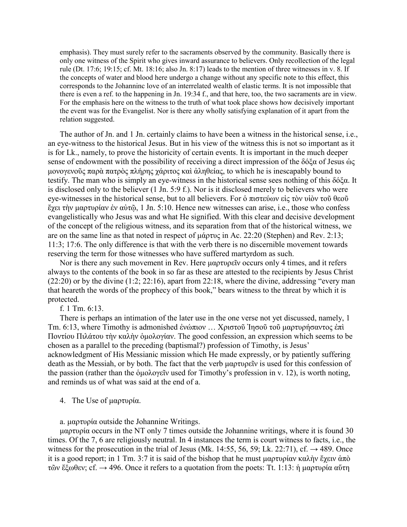emphasis). They must surely refer to the sacraments observed by the community. Basically there is only one witness of the Spirit who gives inward assurance to believers. Only recollection of the legal rule (Dt. 17:6; 19:15; cf. Mt. 18:16; also Jn. 8:17) leads to the mention of three witnesses in v. 8. If the concepts of water and blood here undergo a change without any specific note to this effect, this corresponds to the Johanninc love of an interrelated wealth of elastic terms. It is not impossible that there is even a ref. to the happening in Jn. 19:34 f., and that here, too, the two sacraments are in view. For the emphasis here on the witness to the truth of what took place shows how decisively important the event was for the Evangelist. Nor is there any wholly satisfying explanation of it apart from the relation suggested.

The author of Jn. and 1 Jn. certainly claims to have been a witness in the historical sense, i.e., an eye-witness to the historical Jesus. But in his view of the witness this is not so important as it is for Lk., namely, to prove the historicity of certain events. It is important in the much deeper sense of endowment with the possibility of receiving a direct impression of the δόξα of Jesus ὡς μονογενοῦς παρὰ πατρὸς πλήρης χάριτος καὶ ἀληθείας, to which he is inescapably bound to testify. The man who is simply an eye-witness in the historical sense sees nothing of this δόξα. It is disclosed only to the believer (1 Jn. 5:9 f.). Nor is it disclosed merely to believers who were eye-witnesses in the historical sense, but to all believers. For ὁ πιστεύων εἰς τὸν υἱὸν τοῦ θεοῦ ἔχει τὴν μαρτυρίαν ἐν αὐτῷ, 1 Jn. 5:10. Hence new witnesses can arise, i.e., those who confess evangelistically who Jesus was and what He signified. With this clear and decisive development of the concept of the religious witness, and its separation from that of the historical witness, we are on the same line as that noted in respect of μάρτυς in Ac. 22:20 (Stephen) and Rev. 2:13; 11:3; 17:6. The only difference is that with the verb there is no discernible movement towards reserving the term for those witnesses who have suffered martyrdom as such.

Nor is there any such movement in Rev. Here μαρτυρεῖν occurs only 4 times, and it refers always to the contents of the book in so far as these are attested to the recipients by Jesus Christ (22:20) or by the divine (1:2; 22:16), apart from 22:18, where the divine, addressing "every man that heareth the words of the prophecy of this book," bears witness to the threat by which it is protected.

f. 1 Tm. 6:13.

There is perhaps an intimation of the later use in the one verse not yet discussed, namely, 1 Tm. 6:13, where Timothy is admonished ἐνώπιον … Χριστοῦ Ἰησοῦ τοῦ μαρτυρήσαντος ἐπὶ Ποντίου Πιλάτου τὴν καλὴν ὁμολογίαν. The good confession, an expression which seems to be chosen as a parallel to the preceding (baptismal?) profession of Timothy, is Jesus' acknowledgment of His Messianic mission which He made expressly, or by patiently suffering death as the Messiah, or by both. The fact that the verb μαρτυρεῖν is used for this confession of the passion (rather than the ὁμολογεῖν used for Timothy's profession in v. 12), is worth noting, and reminds us of what was said at the end of a.

4. The Use of μαρτυρία.

a. μαρτυρία outside the Johannine Writings.

μαρτυρία occurs in the NT only 7 times outside the Johannine writings, where it is found 30 times. Of the 7, 6 are religiously neutral. In 4 instances the term is court witness to facts, i.e., the witness for the prosecution in the trial of Jesus (Mk. 14:55, 56, 59; Lk. 22:71), cf.  $\rightarrow$  489. Once it is a good report; in 1 Tm. 3:7 it is said of the bishop that he must μαρτυρίαν καλὴν ἔχειν ἀπὸ τῶν ἔξωθεν; cf. → 496. Once it refers to a quotation from the poets: Tt. 1:13: ἡ μαρτυρία αὕτη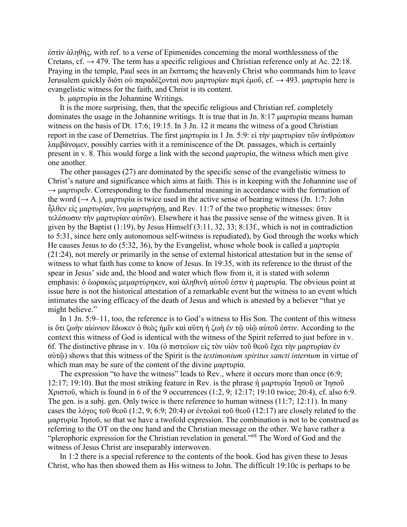ἐστὶν ἀληθής, with ref. to a verse of Epimenides concerning the moral worthlessness of the Cretans, cf.  $\rightarrow$  479. The term has a specific religious and Christian reference only at Ac. 22:18. Praying in the temple, Paul sees in an ἔκστασις the heavenly Christ who commands him to leave Jerusalem quickly διότι οὐ παραδέξονταὶ σου μαρτυρίαν περὶ ἐμοῦ, cf.  $\rightarrow$  493. μαρτυρία here is evangelistic witness for the faith, and Christ is its content.

b. μαρτυρία in the Johannine Writings.

It is the more surprising, then, that the specific religious and Christian ref. completely dominates the usage in the Johannine writings. It is true that in Jn. 8:17 μαρτυρία means human witness on the basis of Dt. 17:6; 19:15. In 3 Jn. 12 it means the witness of a good Christian report in the case of Demetrius. The first μαρτυρία in 1 Jn. 5:9: εἰ τὴν μαρτυρίαν τῶν ἀνθρώπων λαμβάνομεν, possibly carries with it a reminiscence of the Dt. passages, which is certainly present in v. 8. This would forge a link with the second μαρτυρία, the witness which men give one another.

The other passages (27) are dominated by the specific sense of the evangelistic witness to Christ's nature and significance which aims at faith. This is in keeping with the Johannine use of  $\rightarrow \mu \alpha \rho \tau \nu \rho \epsilon \tilde{\nu}$ . Corresponding to the fundamental meaning in accordance with the formation of the word ( $\rightarrow$  A.), μαρτυρία is twice used in the active sense of bearing witness (Jn. 1:7: John ἦλθεν εἰς μαρτυρίαν, ἵνα μαρτυρήσῃ, and Rev. 11:7 of the two prophetic witnesses: ὅταν τελέσωσιν τὴν μαρτυρίαν αὐτῶν). Elsewhere it has the passive sense of the witness given. It is given by the Baptist (1:19), by Jesus Himself (3:11, 32, 33; 8:13f., which is not in contradiction to 5:31, since here only autonomous self-witness is repudiated), by God through the works which He causes Jesus to do (5:32, 36), by the Evangelist, whose whole book is called a μαρτυρία (21:24), not merely or primarily in the sense of external historical attestation but in the sense of witness to what faith has come to know of Jesus. In 19:35, with its reference to the thrust of the spear in Jesus' side and, the blood and water which flow from it, it is stated with solemn emphasis: ὁ ἑωρακὼς μεμαρτύρηκεν, καὶ ἀληθινὴ αὐτοῦ ἐστιν ἡ μαρτυρία. The obvious point at issue here is not the historical attestation of a remarkable event but the witness to an event which intimates the saving efficacy of the death of Jesus and which is attested by a believer "that ye might believe."

In 1 Jn. 5:9–11, too, the reference is to God's witness to His Son. The content of this witness is ὅτι ζωὴν αἰώνιον ἔδωκεν ὁ θεὸς ἡμῖν καὶ αὕτη ἡ ζωὴ ἐν τῷ υἱῷ αὐτοῦ ἐστιν. According to the context this witness of God is identical with the witness of the Spirit referred to just before in v. 6f. The distinctive phrase in v. 10a (ὁ πιστεύων εἰς τὸν υἱὸν τοῦ θεοῦ ἔχει τὴν μαρτυρίαν ἐν αὐτῷ) shows that this witness of the Spirit is the *testimonium spiritus sancti internum* in virtue of which man may be sure of the content of the divine μαρτυρία.

The expression "to have the witness" leads to Rev., where it occurs more than once (6:9; 12:17; 19:10). But the most striking feature in Rev. is the phrase ἡ μαρτυρία Ἰησοῦ or Ἰησοῦ Χριστοῦ, which is found in 6 of the 9 occurrences (1:2, 9; 12:17; 19:10 twice; 20:4), cf. also 6:9. The gen. is a subj. gen. Only twice is there reference to human witness (11:7; 12:11). In many cases the λόγος τοῦ θεοῦ (1:2, 9; 6:9; 20:4) or ἐντολαὶ τοῦ θεοῦ (12:17) are closely related to the μαρτυρία Ἰησοῦ, so that we have a twofold expression. The combination is not to be construed as referring to the OT on the one hand and the Christian message on the other. We have rather a "plerophoric expression for the Christian revelation in general."<sup>68</sup> The Word of God and the witness of Jesus Christ are inseparably interwoven.

In 1:2 there is a special reference to the contents of the book. God has given these to Jesus Christ, who has then showed them as His witness to John. The difficult 19:10c is perhaps to be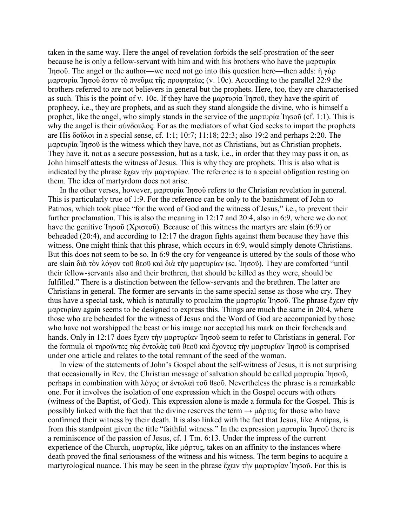taken in the same way. Here the angel of revelation forbids the self-prostration of the seer because he is only a fellow-servant with him and with his brothers who have the μαρτυρία Ἰησοῦ. The angel or the author—we need not go into this question here—then adds: ἡ γὰρ μαρτυρία Ἰησοῦ ἐστιν τὸ πνεῦμα τῆς προφητείας (v. 10c). According to the parallel 22:9 the brothers referred to are not believers in general but the prophets. Here, too, they are characterised as such. This is the point of v. 10c. If they have the μαρτυρία Ἰησοῦ, they have the spirit of prophecy, i.e., they are prophets, and as such they stand alongside the divine, who is himself a prophet, like the angel, who simply stands in the service of the μαρτυρία Ἰησοῦ (cf. 1:1). This is why the angel is their σύνδουλος. For as the mediators of what God seeks to impart the prophets are His δοῦλοι in a special sense, cf. 1:1; 10:7; 11:18; 22:3; also 19:2 and perhaps 2:20. The μαρτυρία Ἰησοῦ is the witness which they have, not as Christians, but as Christian prophets. They have it, not as a secure possession, but as a task, i.e., in order that they may pass it on, as John himself attests the witness of Jesus. This is why they are prophets. This is also what is indicated by the phrase ἔχειν τὴν μαρτυρίαν. The reference is to a special obligation resting on them. The idea of martyrdom does not arise.

In the other verses, however, μαρτυρία Ίησοῦ refers to the Christian revelation in general. This is particularly true of 1:9. For the reference can be only to the banishment of John to Patmos, which took place "for the word of God and the witness of Jesus," i.e., to prevent their further proclamation. This is also the meaning in 12:17 and 20:4, also in 6:9, where we do not have the genitive Ἰησοῦ (Χριστοῦ). Because of this witness the martyrs are slain (6:9) or beheaded (20:4), and according to 12:17 the dragon fights against them because they have this witness. One might think that this phrase, which occurs in 6:9, would simply denote Christians. But this does not seem to be so. In 6:9 the cry for vengeance is uttered by the souls of those who are slain διὰ τὸν λόγον τοῦ θεοῦ καὶ διὰ τὴν μαρτυρίαν (sc. Ἰησοῦ). They are comforted "until their fellow-servants also and their brethren, that should be killed as they were, should be fulfilled." There is a distinction between the fellow-servants and the brethren. The latter are Christians in general. The former are servants in the same special sense as those who cry. They thus have a special task, which is naturally to proclaim the μαρτυρία Ἰησοῦ. The phrase ἔχειν τὴν μαρτυρίαν again seems to be designed to express this. Things are much the same in 20:4, where those who are beheaded for the witness of Jesus and the Word of God are accompanied by those who have not worshipped the beast or his image nor accepted his mark on their foreheads and hands. Only in 12:17 does ἔχειν τὴν μαρτυρίαν Ἰησοῦ seem to refer to Christians in general. For the formula οἱ τηροῦντες τὰς ἐντολὰς τοῦ θεοῦ καὶ ἔχοντες τὴν μαρτυρίαν Ἰησοῦ is comprised under one article and relates to the total remnant of the seed of the woman.

In view of the statements of John's Gospel about the self-witness of Jesus, it is not surprising that occasionally in Rev. the Christian message of salvation should be called μαρτυρία Ἰησοῦ, perhaps in combination with λόγος or ἐντολαὶ τοῦ θεοῦ. Nevertheless the phrase is a remarkable one. For it involves the isolation of one expression which in the Gospel occurs with others (witness of the Baptist, of God). This expression alone is made a formula for the Gospel. This is possibly linked with the fact that the divine reserves the term  $\rightarrow \mu \dot{\alpha} \rho \tau \nu \zeta$  for those who have confirmed their witness by their death. It is also linked with the fact that Jesus, like Antipas, is from this standpoint given the title "faithful witness." In the expression μαρτυρία Ἰησοῦ there is a reminiscence of the passion of Jesus, cf. 1 Tm. 6:13. Under the impress of the current experience of the Church, μαρτυρία, like μάρτυς, takes on an affinity to the instances where death proved the final seriousness of the witness and his witness. The term begins to acquire a martyrological nuance. This may be seen in the phrase ἔχειν τὴν μαρτυρίαν Ἰησοῦ. For this is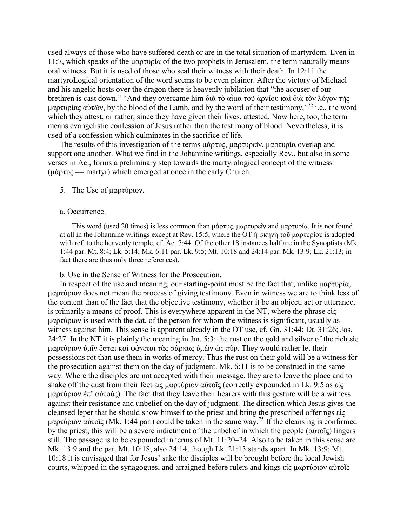used always of those who have suffered death or are in the total situation of martyrdom. Even in 11:7, which speaks of the μαρτυρία of the two prophets in Jerusalem, the term naturally means oral witness. But it is used of those who seal their witness with their death. In 12:11 the martyroLogical orientation of the word seems to be even plainer. After the victory of Michael and his angelic hosts over the dragon there is heavenly jubilation that "the accuser of our brethren is cast down." "And they overcame him διὰ τὸ αἷμα τοῦ ἀρνίου καὶ διὰ τὸν λόγον τῆς μαρτυρίας αὐτῶν, by the blood of the Lamb, and by the word of their testimony,"<sup>72</sup> i.e., the word which they attest, or rather, since they have given their lives, attested. Now here, too, the term means evangelistic confession of Jesus rather than the testimony of blood. Nevertheless, it is used of a confession which culminates in the sacrifice of life.

The results of this investigation of the terms μάρτυς, μαρτυρεῖν, μαρτυρία overlap and support one another. What we find in the Johannine writings, especially Rev., but also in some verses in Ac., forms a preliminary step towards the martyrological concept of the witness  $(\mu \dot{\alpha} \rho \tau \nu \zeta =$  martyr) which emerged at once in the early Church.

5. The Use of μαρτύριον.

#### a. Occurrence.

This word (used 20 times) is less common than μάρτυς, μαρτυρεῖν and μαρτυρία. It is not found at all in the Johannine writings except at Rev. 15:5, where the OT ἡ σκηνὴ τοῦ μαρτυρίου is adopted with ref. to the heavenly temple, cf. Ac. 7:44. Of the other 18 instances half are in the Synoptists (Mk. 1:44 par. Mt. 8:4; Lk. 5:14; Mk. 6:11 par. Lk. 9:5; Mt. 10:18 and 24:14 par. Mk. 13:9; Lk. 21:13; in fact there are thus only three references).

b. Use in the Sense of Witness for the Prosecution.

In respect of the use and meaning, our starting-point must be the fact that, unlike μαρτυρία, μαρτύριον does not mean the process of giving testimony. Even in witness we are to think less of the content than of the fact that the objective testimony, whether it be an object, act or utterance, is primarily a means of proof. This is everywhere apparent in the NT, where the phrase εἰς μαρτύριον is used with the dat. of the person for whom the witness is significant, usually as witness against him. This sense is apparent already in the OT use, cf. Gn. 31:44; Dt. 31:26; Jos. 24:27. In the NT it is plainly the meaning in Jm. 5:3: the rust on the gold and silver of the rich εἰς μαρτύριον ὑμῖν ἔσται καὶ φάγεται τὰς σάρκας ὑμῶν ὡς πῦρ. They would rather let their possessions rot than use them in works of mercy. Thus the rust on their gold will be a witness for the prosecution against them on the day of judgment. Mk. 6:11 is to be construed in the same way. Where the disciples are not accepted with their message, they are to leave the place and to shake off the dust from their feet εἰς μαρτύριον αὐτοῖς (correctly expounded in Lk. 9:5 as εἰς μαρτύριον ἐπ' αὐτούς). The fact that they leave their hearers with this gesture will be a witness against their resistance and unbelief on the day of judgment. The direction which Jesus gives the cleansed leper that he should show himself to the priest and bring the prescribed offerings εἰς μαρτύριον αὐτοῖς (Mk. 1:44 par.) could be taken in the same way.<sup>75</sup> If the cleansing is confirmed by the priest, this will be a severe indictment of the unbelief in which the people (αὐτοῖς) lingers still. The passage is to be expounded in terms of Mt. 11:20–24. Also to be taken in this sense are Mk. 13:9 and the par. Mt. 10:18, also 24:14, though Lk. 21:13 stands apart. In Mk. 13:9; Mt. 10:18 it is envisaged that for Jesus' sake the disciples will be brought before the local Jewish courts, whipped in the synagogues, and arraigned before rulers and kings εἰς μαρτύριον αὐτοῖς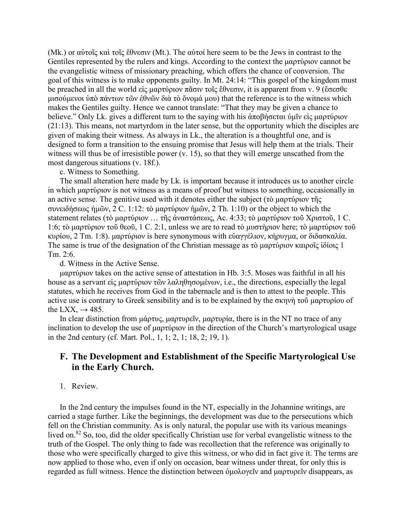(Mk.) or αὐτοῖς καὶ τοῖς ἔθνεσιν (Mt.). The αὐτοί here seem to be the Jews in contrast to the Gentiles represented by the rulers and kings. According to the context the μαρτύριον cannot be the evangelistic witness of missionary preaching, which offers the chance of conversion. The goal of this witness is to make opponents guilty. In Mt. 24:14: "This gospel of the kingdom must be preached in all the world εἰς μαρτύριον πᾶσιν τοῖς ἔθνεσιν, it is apparent from v. 9 (ἔσεσθε μισούμενοι ὑπὸ πάντων τῶν ἐθνῶν διὰ τὸ ὄνομά μου) that the reference is to the witness which makes the Gentiles guilty. Hence we cannot translate: "That they may be given a chance to believe." Only Lk. gives a different turn to the saying with his ἀποβήσεται ὑμῖν εἰς μαρτύριον (21:13). This means, not martyrdom in the later sense, but the opportunity which the disciples are given of making their witness. As always in Lk., the alteration is a thoughtful one, and is designed to form a transition to the ensuing promise that Jesus will help them at the trials. Their witness will thus be of irresistible power (v. 15), so that they will emerge unscathed from the most dangerous situations (v. 18f.).

## c. Witness to Something.

The small alteration here made by Lk. is important because it introduces us to another circle in which μαρτύριον is not witness as a means of proof but witness to something, occasionally in an active sense. The genitive used with it denotes either the subject (τὸ μαρτύριον τῆς συνειδήσεως ἡμῶν, 2 C. 1:12: τὸ μαρτύριον ἡμῶν, 2 Th. 1:10) or the object to which the statement relates (τὸ μαρτύριον … τῆς ἀναστάσεως, Ac. 4:33; τὸ μαρτύριον τοῦ Χριστοῦ, 1 C. 1:6; τὸ μαρτύριον τοῦ θεοῦ, 1 C. 2:1, unless we are to read τὸ μυστὴριον here; τὸ μαρτύριον τοῦ κυρίου, 2 Tm. 1:8). μαρτύριον is here synonymous with εὐαγγέλιον, κήρυγμα, or διδασκαλία. The same is true of the designation of the Christian message as τὸ μαρτύριον καιροῖς ἰδίοις 1 Tm. 2:6.

d. Witness in the Active Sense.

μαρτύριον takes on the active sense of attestation in Hb. 3:5. Moses was faithful in all his house as a servant εἰς μαρτύριον τῶν λαληθησομένων, i.e., the directions, especially the legal statutes, which he receives from God in the tabernacle and is then to attest to the people. This active use is contrary to Greek sensibility and is to be explained by the σκηνὴ τοῦ μαρτυρίου of the LXX,  $\rightarrow$  485.

In clear distinction from μάρτυς, μαρτυρεῖν, μαρτυρία, there is in the NT no trace of any inclination to develop the use of μαρτύριον in the direction of the Church's martyrological usage in the 2nd century (cf. Mart. Pol., 1, 1; 2, 1; 18, 2; 19, 1).

# **F. The Development and Establishment of the Specific Martyrological Use in the Early Church.**

### 1. Review.

In the 2nd century the impulses found in the NT, especially in the Johannine writings, are carried a stage further. Like the beginnings, the development was due to the persecutions which fell on the Christian community. As is only natural, the popular use with its various meanings lived on.<sup>82</sup> So, too, did the older specifically Christian use for verbal evangelistic witness to the truth of the Gospel. The only thing to fade was recollection that the reference was originally to those who were specifically charged to give this witness, or who did in fact give it. The terms are now applied to those who, even if only on occasion, bear witness under threat, for only this is regarded as full witness. Hence the distinction between ὁμολογεῖν and μαρτυρεῖν disappears, as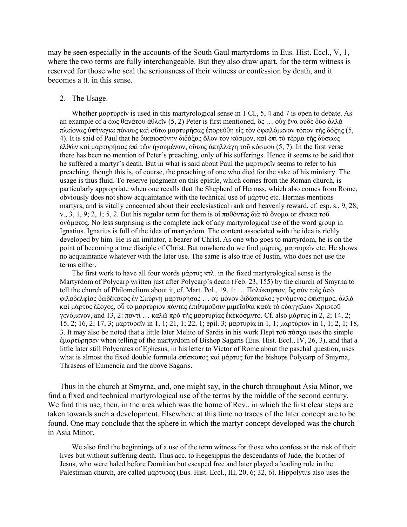may be seen especially in the accounts of the South Gaul martyrdoms in Eus. Hist. Eccl., V, 1, where the two terms are fully interchangeable. But they also draw apart, for the term witness is reserved for those who seal the seriousness of their witness or confession by death, and it becomes a tt. in this sense.

### 2. The Usage.

Whether μαρτυρεῖν is used in this martyrological sense in 1 Cl., 5, 4 and 7 is open to debate. As an example of a ἕως θανάτου ἀθλεῖν (5, 2) Peter is first mentioned, ὃς … οὐχ ἕνα οὐδὲ δύο ἀλλὰ πλείονας ὑπήνεγκε πόνους καὶ οὕτω μαρτυρήσας ἐπορεύθη εἰς τὸν ὀφειλόμενον τόπον τῆς δόξης (5, 4). It is said of Paul that he δικαιοσύνην διδάξας ὅλον τὸν κόσμον, καὶ ἐπὶ τὸ τέρμα τῆς δύσεως ἐλθὼν καὶ μαρτυρήσας ἐπὶ τῶν ἡγουμένων, οὕτως ἀπηλλάγη τοῦ κόσμου (5, 7). In the first verse there has been no mention of Peter's preaching, only of his sufferings. Hence it seems to be said that he suffered a martyr's death. But in what is said about Paul the μαρτυρεῖν seems to refer to his preaching, though this is, of course, the preaching of one who died for the sake of his ministry. The usage is thus fluid. To reserve judgment on this epistle, which comes from the Roman church, is particularly appropriate when one recalls that the Shepherd of Hermss, which also comes from Rome, obviously does not show acquaintance with the technical use of μάρτυς etc. Hermas mentions martyrs, and is vitally concerned about their ecclesiastical rank and heavenly reward, cf. esp. s., 9, 28; v., 3, 1, 9; 2, 1; 5, 2. But his regular term for them is οἱ παθόντες διὰ τὸ ὄνομα or εἴνεκα τοῦ ὀνόματος. No less surprising is the complete lack of any martyrological use of the word group in Ignatius. Ignatius is full of the idea of martyrdom. The content associated with the idea is richly developed by him. He is an imitator, a bearer of Christ. As one who goes to martyrdom, he is on the point of becoming a true disciple of Christ. But nowhere do we find μάρτυς, μαρτυρεῖν etc. He shows no acquaintance whatever with the later use. The same is also true of Justin, who does not use the terms either.

The first work to have all four words μάρτυς κτλ. in the fixed martyrological sense is the Martyrdom of Polycarp written just after Polycarp's death (Feb. 23, 155) by the church of Smyrna to tell the church of Philomelium about it, cf. Mart. Pol., 19, 1: ... Πολύκαρπον, ὃς σὺν τοῖς ἀπὸ φιλαδελφίας δωδέκατος ἐν Σμύρνῃ μαρτυρήσας … οὐ μόνον διδάσκαλος γενόμενος ἐπίσημος, ἀλλὰ καὶ μάρτυς ἔξοχος, οὗ τὸ μαρτύριον πάντες ἐπιθυμοῦσιν μιμεῖσθαι κατὰ τὸ εὐαγγέλιον Χριστοῦ γενόμενον, and 13, 2: παντὶ … καλῷ πρὸ τῆς μαρτυρίας ἐκεκόσμντο. Cf. also μάρτυς in 2, 2; 14, 2; 15, 2; 16, 2; 17, 3; μαρτυρεῖν in 1, 1; 21, 1; 22, 1; epil. 3; μαρτυρία in 1, 1; μαρτύριον in 1, 1; 2, 1; 18, 3. It may also be noted that a little later Melito of Sardis in his work Περὶ τοῦ πάσχα uses the simple ἐμαρτύρησεν when telling of the martyrdom of Bishop Sagaris (Eus. Hist. Eccl., IV, 26, 3), and that a little later still Polycrates of Ephesus, in his letter to Victor of Rome about the paschal question, uses what is almost the fixed double formula ἐπίσκοπος καὶ μάρτυς for the bishops Polycarp of Smyrna, Thraseas of Eumencia and the above Sagaris.

Thus in the church at Smyrna, and, one might say, in the church throughout Asia Minor, we find a fixed and technical martyrological use of the terms by the middle of the second century. We find this use, then, in the area which was the home of Rev., in which the first clear steps are taken towards such a development. Elsewhere at this time no traces of the later concept are to be found. One may conclude that the sphere in which the martyr concept developed was the church in Asia Minor.

We also find the beginnings of a use of the term witness for those who confess at the risk of their lives but without suffering death. Thus acc. to Hegesippus the descendants of Jude, the brother of Jesus, who were haled before Domitian but escaped free and later played a leading role in the Palestinian church, are called μάρτυρες (Eus. Hist. Eccl., III, 20, 6; 32, 6). Hippolytus also uses the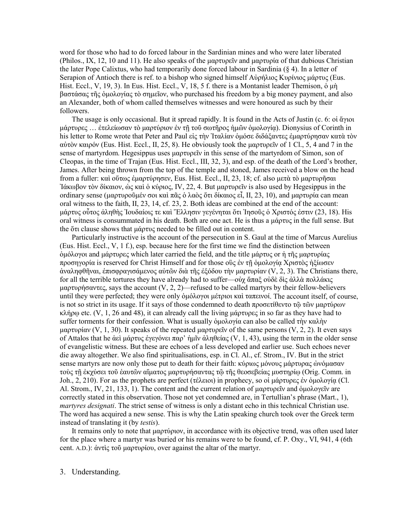word for those who had to do forced labour in the Sardinian mines and who were later liberated (Philos., IX, 12, 10 and 11). He also speaks of the μαρτυρεΐν and μαρτυρία of that dubious Christian the later Pope Calixtus, who had temporarily done forced labour in Sardinia (§ 4). In a letter of Serapion of Antioch there is ref. to a bishop who signed himself Αὐρήλιος Κυρίνιος μάρτυς (Eus. Hist. Eccl., V, 19, 3). In Eus. Hist. Eccl., V, 18, 5 f. there is a Montanist leader Themison, o un βαστάσας τῆς ὁμολογίας τὸ σημεῖον, who purchased his freedom by a big money payment, and also an Alexander, both of whom called themselves witnesses and were honoured as such by their followers.

The usage is only occasional. But it spread rapidly. It is found in the Acts of Justin (c. 6: οἱ ἅγιοι μάρτυρες … ἐτελείωσαν τὸ μαρτύριον ἐν τῇ τοῦ σωτῆρος ἡμῶν ὁμολογίᾳ). Dionysius of Corinth in his letter to Rome wrote that Peter and Paul εἰς τὴν Ἰταλίαν ὁμόσε διδάξαντες ἐμαρτύρησαν κατὰ τὸν αὐτὸν καιρόν (Eus. Hist. Eccl., II, 25, 8). He obviously took the μαρτυρεῖν of 1 Cl., 5, 4 and 7 in the sense of martyrdom. Hegesippus uses μαρτυρεῖν in this sense of the martyrdom of Simon, son of Cleopas, in the time of Trajan (Eus. Hist. Eccl., III, 32, 3), and esp. of the death of the Lord's brother, James. After being thrown from the top of the temple and stoned, James received a blow on the head from a fuller: καὶ οὕτως ἐμαρτύρησεν, Eus. Hist. Eccl., II, 23, 18; cf. also μετὰ τὸ μαρτυρῆσαι Ἰάκωβον τὸν δίκαιον, ὡς καὶ ὁ κύριος, IV, 22, 4. But μαρτυρεῖν is also used by Hegesippus in the ordinary sense (μαρτυροῦμέν σοι καὶ πᾶς ὁ λαὸς ὅτι δίκαιος εἶ, II, 23, 10), and μαρτυρία can mean oral witness to the faith, II, 23, 14, cf. 23, 2. Both ideas are combined at the end of the account: μάρτυς οὗτος ἀληθὴς Ἰουδαίοις τε καὶ Ἕλλησιν γεγένηται ὅτι Ἰησοῦς ὁ Χριστός ἐστιν (23, 18). His oral witness is consummated in his death. Both are one act. He is thus a μάρτυς in the full sense. But the ὅτι clause shows that μάρτυς needed to be filled out in content.

Particularly instructive is the account of the persecution in S. Gaul at the time of Marcus Aurelius (Eus. Hist. Eccl., V, 1 f.), esp. because here for the first time we find the distinction between ὁμόλογοι and μάρτυρες which later carried the field, and the title μάρτυς or ἡ τῆς μαρτυρίας προσηγορία is reserved for Christ Himself and for those οὓς ἐν τῇ ὁμολογίᾳ Χριστὸς ἠξίωσεν ἀναληφθῆναι, ἐπισφραγισάμενος αὐτῶν διὰ τῆς ἐξόδου τὴν μαρτυρίαν (V, 2, 3). The Christians there, for all the terrible tortures they have already had to suffer—οὐχ ἅπαξ οὐδὲ δὶς ἀλλὰ πολλάκις μαρτυρήσαντες, says the account (V, 2, 2)—refused to be called martyrs by their fellow-believers until they were perfected; they were only ὁμόλογοι μέτριοι καὶ ταπεινοί. The account itself, of course, is not so strict in its usage. If it says of those condemned to death προσετίθεντο τῷ τῶν μαρτύρων κλήρῳ etc. (V, 1, 26 and 48), it can already call the living μάρτυρες in so far as they have had to suffer torments for their confession. What is usually ομολογία can also be called τὴν καλὴν μαρτυρίαν (V, 1, 30). It speaks of the repeated μαρτυρεῖν of the same persons (V, 2, 2). It even says of Attalos that he ἀεὶ μάρτυς ἐγεγόνει παρ' ἡμῖν ἀληθείας (V, 1, 43), using the term in the older sense of evangelistic witness. But these are echoes of a less developed and earlier use. Such echoes never die away altogether. We also find spiritualisations, esp. in Cl. Al., cf. Strom., IV. But in the strict sense martyrs are now only those put to death for their faith: κύριως μόνους μάρτυρας ἀνόμασαν τοὺς τῇ ἐκχύσει τοῦ ἑαυτῶν αἵματος μαρτυρήσαντας τῷ τῆς θεοσεβείας μυστηρίῳ (Orig. Comm. in Joh., 2, 210). For as the prophets are perfect (τέλειοι) in prophecy, so οἱ μάρτυρες ἐν ὁμολογίᾳ (Cl. Al. Strom., IV, 21, 133, 1). The content and the current relation of μαρτυρεῖν and ὁμολογεῖν are correctly stated in this observation. Those not yet condemned are, in Tertullian's phrase (Mart., 1), *martyres designati*. The strict sense of witness is only a distant echo in this technical Christian use. The word has acquired a new sense. This is why the Latin speaking church took over the Greek term instead of translating it (by *testis*).

It remains only to note that μαρτύριον, in accordance with its objective trend, was often used later for the place where a martyr was buried or his remains were to be found, cf. P. Oxy., VI, 941, 4 (6th cent. A.D.): ἀντὶς τοῦ μαρτυρίου, over against the altar of the martyr.

### 3. Understanding.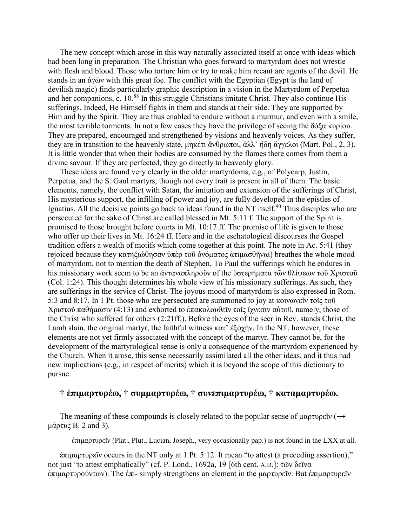The new concept which arose in this way naturally associated itself at once with ideas which had been long in preparation. The Christian who goes forward to martyrdom does not wrestle with flesh and blood. Those who torture him or try to make him recant are agents of the devil. He stands in an ἀγών with this great foe. The conflict with the Egyptian (Egypt is the land of devilish magic) finds particularly graphic description in a vision in the Martyrdom of Perpetua and her companions, c. 10.<sup>88</sup> In this struggle Christians imitate Christ. They also continue His sufferings. Indeed, He Himself fights in them and stands at their side. They are supported by Him and by the Spirit. They are thus enabled to endure without a murmur, and even with a smile, the most terrible torments. In not a few cases they have the privilege of seeing the δόξα κυρίου. They are prepared, encouraged and strengthened by visions and heavenly voices. As they suffer, they are in transition to the heavenly state, μηκέτι ἄνθρωποι, ἀλλ' ἤδη ἄγγελοι (Mart. Pol., 2, 3). It is little wonder that when their bodies are consumed by the flames there comes from them a divine savour. If they are perfected, they go directly to heavenly glory.

These ideas are found very clearly in the older martyrdoms, e.g., of Polycarp, Justin, Perpetua, and the S. Gaul martyrs, though not every trait is present in all of them. The basic elements, namely, the conflict with Satan, the imitation and extension of the sufferings of Christ, His mysterious support, the infilling of power and joy, are fully developed in the epistles of Ignatius. All the decisive points go back to ideas found in the NT itself.<sup>90</sup> Thus disciples who are persecuted for the sake of Christ are called blessed in Mt. 5:11 f. The support of the Spirit is promised to those brought before courts in Mt. 10:17 ff. The promise of life is given to those who offer up their lives in Mt. 16:24 ff. Here and in the eschatological discourses the Gospel tradition offers a wealth of motifs which come together at this point. The note in Ac. 5:41 (they rejoiced because they κατηξιώθησαν ὑπὲρ τοῦ ὀνόματος ἀτιμασθῆναι) breathes the whole mood of martyrdom, not to mention the death of Stephen. To Paul the sufferings which he endures in his missionary work seem to be an ἀνταναπληροῦν of the ὑστερήματα τῶν θλίψεων τοῦ Χριστοῦ (Col. 1:24). This thought determines his whole view of his missionary sufferings. As such, they are sufferings in the service of Christ. The joyous mood of martyrdom is also expressed in Rom. 5:3 and 8:17. In 1 Pt. those who are persecuted are summoned to joy at κοινωνεῖν τοῖς τοῦ Χριστοῦ παθήμασιν (4:13) and exhorted to ἐπακολουθεῖν τοῖς ἴχνεσιν αὐτοῦ, namely, those of the Christ who suffered for others (2:21ff.). Before the eyes of the seer in Rev. stands Christ, the Lamb slain, the original martyr, the faithful witness κατ' ἐξοχήν. In the NT, however, these elements are not yet firmly associated with the concept of the martyr. They cannot be, for the development of the martyrological sense is only a consequence of the martyrdom experienced by the Church. When it arose, this sense necessarily assimilated all the other ideas, and it thus had new implications (e.g., in respect of merits) which it is beyond the scope of this dictionary to pursue.

# † **ἐπιμαρτυρέω,** † **συμμαρτυρέω,** † **συνεπιμαρτυρέω,** † **καταμαρτυρέω.**

The meaning of these compounds is closely related to the popular sense of μαρτυρεῖν (**→** μάρτυς B. 2 and 3).

ἐπιμαρτυρεῖν (Plat., Plut., Lucian, Joseph., very occasionally pap.) is not found in the LXX at all.

ἐπιμαρτυρεῖν occurs in the NT only at 1 Pt. 5:12. It mean "to attest (a preceding assertion)," not just "to attest emphatically" (cf. P. Lond., 1692a, 19 [6th cent. A.D.]: τῶν δεῖνα  $\dot{\epsilon}$ πιμαρτυρούντων). The έπι- simply strengthens an element in the μαρτυρεῖν. But ἐπιμαρτυρεῖν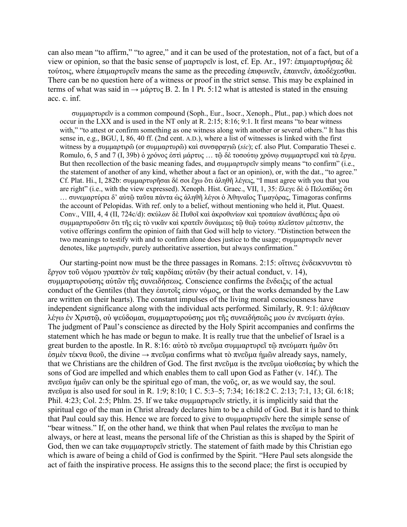can also mean "to affirm," "to agree," and it can be used of the protestation, not of a fact, but of a view or opinion, so that the basic sense of μαρτυρεῖν is lost, cf. Ep. Ar., 197: ἐπιμαρτυρήσας δὲ τούτοις, where ἐπιμαρτυρεῖν means the same as the preceding ἐπιφωνεῖν, ἐπαινεῖν, ἀποδέχεσθαι. There can be no question here of a witness or proof in the strict sense. This may be explained in terms of what was said in  $\rightarrow \mu \omega \rho \tau \nu \zeta$  B. 2. In 1 Pt. 5:12 what is attested is stated in the ensuing acc. c. inf.

συμμαρτυρεῖν is a common compound (Soph., Eur., Isocr., Xenoph., Plut., pap.) which does not occur in the LXX and is used in the NT only at R. 2:15; 8:16; 9:1. It first means "to bear witness with," "to attest or confirm something as one witness along with another or several others." It has this sense in, e.g., BGU, I, 86, 40 ff. (2nd cent. A.D.), where a list of witnesses is linked with the first witness by a συμμαρτιρῶ (or συμμαρτυρῶ) καὶ συνσφραγιῶ (*sic*); cf. also Plut. Comparatio Thesei c. Romulo, 6, 5 and 7 (I, 39b) ὁ χρόνος ἐστὶ μάρτυς … τῷ δὲ τοσούτῳ χρόνῳ συμμαρτυρεῖ καὶ τὰ ἔργα. But then recollection of the basic meaning fades, and συμμαρτυρεῖν simply means "to confirm" (i.e., the statement of another of any kind, whether about a fact or an opinion), or, with the dat., "to agree." Cf. Plat. Hi., I, 282b: συμμαρτυρῆσαι δέ σοι ἔχω ὅτι ἀληθῆ λέγεις, "I must agree with you that you are right" (i.e., with the view expressed). Xenoph. Hist. Graec., VII, 1, 35: ἔλεγε δὲ ὁ Πελοπίδας ὅτι … συνεμαρτύρει δ' αὐτῷ ταῦτα πάντα ὡς ἀληθῆ λέγοι ὁ Ἀθηναῖος Τιμαγόρας, Timagoras confirms the account of Pelopidas. With ref. only to a belief, without mentioning who held it, Plut. Quaest. Conv., VIII, 4, 4 (II, 724c/d): σκύλων δὲ Πυθοῖ καὶ ἀκροθινίων καὶ τροπαίων ἀναθέσεις ἆρα οὐ συμμαρτυροῦσιν ὅτι τῆς εἰς τὸ νικᾶν καὶ κρατεῖν δυνάμεως τῷ θεῷ τούτῳ πλεῖστον μέτεστιν, the votive offerings confirm the opinion of faith that God will help to victory. "Distinction between the two meanings to testify with and to confirm alone does justice to the usage; συμμαρτυρεῖν never denotes, like μαρτυρεῖν, purely authoritative assertion, but always confirmation."

Our starting-point now must be the three passages in Romans. 2:15: οἵτινες ἐνδεικνυνται τὸ ἔργον τοῦ νόμου γραπτὸν ἐν ταῖς καρδίαις αὐτῶν (by their actual conduct, v. 14), συμμαρτυρούσης αὐτῶν τῆς συνειδήσεως. Conscience confirms the ἔνδειξις of the actual conduct of the Gentiles (that they ἑαυτοῖς εἰσιν νόμος, or that the works demanded by the Law are written on their hearts). The constant impulses of the living moral consciousness have independent significance along with the individual acts performed. Similarly, R. 9:1: ἀλήθειαν λέγω ἐν Χριστῷ, οὐ ψεύδομαι, συμμαρτυρούσης μοι τῆς συνειδήσεῶς μου ἐν πνεύματι ἁγίω. The judgment of Paul's conscience as directed by the Holy Spirit accompanies and confirms the statement which he has made or begun to make. It is really true that the unbelief of Israel is a great burden to the apostle. In R. 8:16: αὐτὸ τὸ πνεῦμα συμμαρτυρεῖ τῷ πνεύματι ἡμῶν ὅτι  $\dot{\epsilon}$ σμὲν τέκνα θεοῦ, the divine  $\rightarrow \pi$ νεῦμα confirms what τὸ πνεῦμα ἡμῶν already says, namely, that we Christians are the children of God. The first πνεῦμα is the πνεῦμα υἱοθεσίας by which the sons of God are impelled and which enables them to call upon God as Father (v. 14f.). The πνεῦμα ἡμῶν can only be the spiritual ego of man, the νοῦς, or, as we would say, the soul. πνεῦμα is also used for soul in R. 1:9; 8:10; 1 C. 5:3–5; 7:34; 16:18:2 C. 2:13; 7:1, 13; Gl. 6:18; Phil. 4:23; Col. 2:5; Phlm. 25. If we take συμμαρτυρεῖν strictly, it is implicitly said that the spiritual ego of the man in Christ already declares him to be a child of God. But it is hard to think that Paul could say this. Hence we are forced to give to συμμαρτυρεῖν here the simple sense of "bear witness." If, on the other hand, we think that when Paul relates the πνεῦμα to man he always, or here at least, means the personal life of the Christian as this is shaped by the Spirit of God, then we can take συμμαρτυρεῖν strictly. The statement of faith made by this Christian ego which is aware of being a child of God is confirmed by the Spirit. "Here Paul sets alongside the act of faith the inspirative process. He assigns this to the second place; the first is occupied by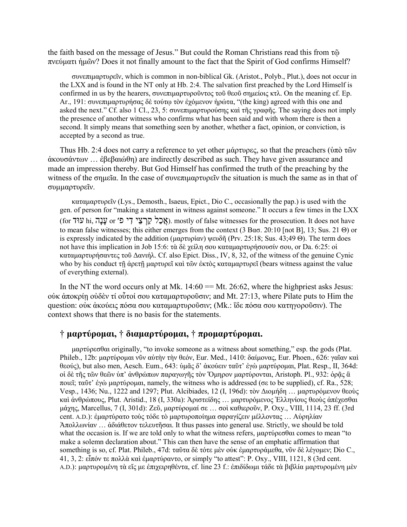the faith based on the message of Jesus." But could the Roman Christians read this from τῷ πνεύματι ἡμῶν? Does it not finally amount to the fact that the Spirit of God confirms Himself?

συνεπιμαρτυρεῖν, which is common in non-biblical Gk. (Aristot., Polyb., Plut.), does not occur in the LXX and is found in the NT only at Hb. 2:4. The salvation first preached by the Lord Himself is confirmed in us by the hearers, συνεπιμαρτυροῦντος τοῦ θεοῦ σημείοις κτλ. On the meaning cf. Ep. Ar., 191: συνεπιμαρτυρήσας δὲ τούτῳ τὸν ἐχόμενον ἠρώτα, "(the king) agreed with this one and asked the next." Cf. also 1 Cl., 23, 5: συνεπιμαρτυρούσης καὶ τῆς γραφῆς. The saying does not imply the presence of another witness who confirms what has been said and with whom there is then a second. It simply means that something seen by another, whether a fact, opinion, or conviction, is accepted by a second as true.

Thus Hb. 2:4 does not carry a reference to yet other μάρτυρες, so that the preachers (ὑπὸ τῶν ἀκουσάντων … ἐβεβαιώθη) are indirectly described as such. They have given assurance and made an impression thereby. But God Himself has confirmed the truth of the preaching by the witness of the σημεΐα. In the case of συνεπιμαρτυρεΐν the situation is much the same as in that of συμμαρτυρεῖν.

καταμαρτυρεῖν (Lys., Demosth., Isaeus, Epict., Dio C., occasionally the pap.) is used with the gen. of person for "making a statement in witness against someone." It occurs a few times in the LXX (for אֲכָל קַרְצֵי דִי פ׳ or שְׁנָה, mostly of false witnesses for the prosecution. It does not have to mean false witnesses; this either emerges from the context (3 Βασ. 20:10 [not B], 13; Sus. 21 Θ) or is expressly indicated by the addition (μαρτυρίαν) ψευδῆ (Prv. 25:18; Sus. 43;49 Θ). The term does not have this implication in Job 15:6: τὰ δὲ χείλη σου καταμαρτυρήσουσίν σου, or Da. 6:25: οἱ καταμαρτυρήσαντες τοῦ Δανιήλ. Cf. also Epict. Diss., IV, 8, 32, of the witness of the genuine Cynic who by his conduct τῇ ἀρετῇ μαρτυρεῖ καὶ τῶν ἐκτὸς καταμαρτυρεῖ (bears witness against the value of everything external).

In the NT the word occurs only at Mk.  $14:60 = Mt$ . 26:62, where the highpriest asks Jesus: οὐκ ἀποκρίῃ οὐδὲν τί οὗτοί σου καταμαρτυροῦσιν; and Mt. 27:13, where Pilate puts to Him the question: οὐκ ἀκούεις πόσα σου καταμαρτυροῦσιν; (Mk.: ἴδε πόσα σου κατηγοροῦσιν). The context shows that there is no basis for the statements.

## † **μαρτύρομαι,** † **διαμαρτύρομαι,** † **προμαρτύρομαι.**

μαρτύρεσθαι originally, "to invoke someone as a witness about something," esp. the gods (Plat. Phileb., 12b: μαρτύρομαι νῦν αὐτὴν τὴν θεόν, Eur. Med., 1410: δαίμονας, Eur. Phoen., 626: γαῖαν καὶ θεούς), but also men, Aesch. Eum., 643: ὑμᾶς δ' ἀκούειν ταῦτ' ἐγὼ μαρτύρομαι, Plat. Resp., II, 364d: οί δὲ τῆς τῶν θεῶν ὑπ' ἀνθρώπων παραγωγῆς τὸν Όμηρον μαρτύρονται, Aristoph. Pl., 932: ὁρᾶς ἃ ποιεῖ; ταῦτ' ἐγὼ μαρτύρομαι, namely, the witness who is addressed (σε to be supplied), cf. Ra., 528; Vesp., 1436; Nu., 1222 and 1297; Plut. Alcibiades, 12 (I, 196d): τὸν Διομήδη … μαρτυρόμενον θεοὺς καὶ ἀνθρώπους, Plut. Aristid., 18 (I, 330a): Ἀριστείδης … μαρτυρόμενος Ἑλληνίους θεοὺς ἀπέχεσθαι μάχης, Marcellus, 7 (I, 301d): Ζεῦ, μαρτύρομαί σε … σοὶ καθιεροῦν, P. Oxy., VIII, 1114, 23 ff. (3rd cent. A.D.): ἐμαρτύρατο τοὺς τόδε τὸ μαρτυροποίημα σφραγίζειν μέλλοντας … Αὐρηλίαν Ἀπολλωνίαν … ἀδιάθετον τελευτῆσαι. It thus passes into general use. Strictly, we should be told what the occasion is. If we are told only to what the witness refers, μαρτύρεσθαι comes to mean "to" make a solemn declaration about." This can then have the sense of an emphatic affirmation that something is so, cf. Plat. Phileb., 47d: ταῦτα δὲ τότε μὲν οὐκ ἐμαρτυράμεθα, νῦν δὲ λέγομεν; Dio C., 41, 3, 2: εἶπόν τε πολλὰ καὶ ἐμαρτύραντο, or simply "to attest": P. Oxy., VIII, 1121, 8 (3rd cent. A.D.): μαρτυρομένη τὰ εἴς με ἐπιχειρηθέντα, cf. line 23 f.: ἐπιδίδωμι τάδε τὰ βιβλία μαρτυρομένη μὲν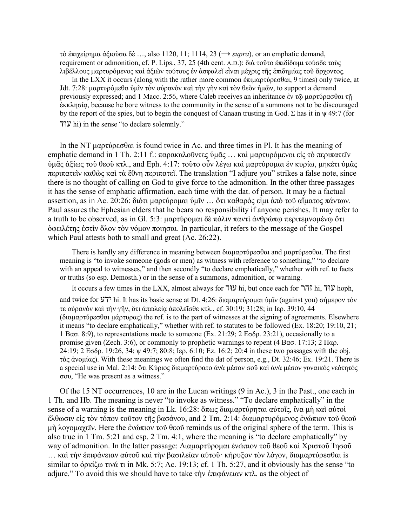τὸ ἐπιχείρημα ἀξιοῦσα δὲ …, also 1120, 11; 1114, 23 (**→** *supra*), or an emphatic demand, requirement or admonition, cf. P. Lips., 37, 25 (4th cent. A.D.): διὰ τοῦτο ἐπιδίδωμι τούσδε τοὺς λιβέλλους μαρτυρόμενος καὶ ἀξιῶν τούτους ἐν ἀσφαλεῖ εἶναι μέχρις τῆς ἐπιδημίας τοῦ ἄρχοντος.

In the LXX it occurs (along with the rather more common ἐπιμαρτύρεσθαι, 9 times) only twice, at Jdt. 7:28: μαρτυρόμεθα ὑμῖν τὸν οὐρανὸν καὶ τὴν γῆν καὶ τὸν θεὸν ἡμῶν, to support a demand previously expressed; and 1 Macc. 2:56, where Caleb receives an inheritance ἐν τῶ μαρτύρασθαι τῆ ἐκκλησίᾳ, because he bore witness to the community in the sense of a summons not to be discouraged by the report of the spies, but to begin the conquest of Canaan trusting in God. Σ has it in  $\psi$  49:7 (for עוּד hi) in the sense "to declare solemnly."

In the NT μαρτύρεσθαι is found twice in Ac. and three times in Pl. It has the meaning of emphatic demand in 1 Th. 2:11 f.: παρακαλοῦντες ὑμᾶς ... καὶ μαρτυρόμενοι εἰς τὸ περιπατεῖν ὑμᾶς ἀξίως τοῦ θεοῦ κτλ., and Eph. 4:17: τοῦτο οὖν λέγω καὶ μαρτύρομαι ἐν κυρίω, μηκέτι ὑμᾶς περιπατεῖν καθὼς καὶ τὰ ἔθνη περιπατεῖ. The translation "I adjure you" strikes a false note, since there is no thought of calling on God to give force to the admonition. In the other three passages it has the sense of emphatic affirmation, each time with the dat. of person. It may be a factual assertion, as in Ac. 20:26: διότι μαρτύρομαι ὑμῖν … ὅτι καθαρός εἰμι ἀπὸ τοῦ αἵματος πάντων. Paul assures the Ephesian elders that he bears no responsibility if anyone perishes. It may refer to a truth to be observed, as in Gl. 5:3: μαρτύρομαι δὲ πάλιν παντὶ ἀνθρώπῳ περιτεμνομένῳ ὅτι ὀφειλέτης ἐστὶν ὅλον τὸν νόμον ποιησαι. In particular, it refers to the message of the Gospel which Paul attests both to small and great (Ac. 26:22).

There is hardly any difference in meaning between διαμαρτύρεσθαι and μαρτύρεσθαι. The first meaning is "to invoke someone (gods or men) as witness with reference to something," "to declare with an appeal to witnesses," and then secondly "to declare emphatically," whether with ref. to facts or truths (so esp. Demosth.) or in the sense of a summons, admonition, or warning.

It occurs a few times in the LXX, almost always for עוּד hi, but once each for זהר hi, עוּד hoph,

and twice for ידע hi. It has its basic sense at Dt. 4:26: διαμαρτύρομαι ὑμῖν (against you) σήμερον τόν τε οὐρανὸν καὶ τὴν γῆν, ὅτι ἀπωλείᾳ ἀπολεῖσθε κτλ., cf. 30:19; 31:28; in Ιερ. 39:10, 44 (διαμαρτύρεσθαι μάρτυρας) the ref. is to the part of witnesses at the signing of agreements. Elsewhere it means "to declare emphatically," whether with ref. to statutes to be followed (Ex. 18:20; 19:10, 21; 1 Βασ. 8:9), to representations made to someone (Ex. 21:29; 2 Εσδρ. 23:21), occasionally to a promise given (Zech. 3:6), or commonly to prophetic warnings to repent (4 Βασ. 17:13; 2 Παρ. 24:19; 2 Εσδρ. 19:26, 34; ψ 49:7; 80:8; Ιερ. 6:10; Ez. 16:2; 20:4 in these two passages with the obj. τὰς ἀνομίας). With these meanings we often find the dat of person, e.g., Dt. 32:46; Ex. 19:21. There is a special use in Mal. 2:14: ὅτι Κύριος διεμαρτύρατο ἀνὰ μέσον σοῦ καὶ ἀνὰ μέσον γυναικός νεότητός σου, "He was present as a witness."

Of the 15 NT occurrences, 10 are in the Lucan writings (9 in Ac.), 3 in the Past., one each in 1 Th. and Hb. The meaning is never "to invoke as witness." "To declare emphatically" in the sense of a warning is the meaning in Lk. 16:28: ὅπως διαμαρτύρηται αὐτοῖς, ἵνα μὴ καὶ αὐτοὶ ἔλθωσιν εἰς τὸν τόπον τοῦτον τῆς βασάνου, and 2 Tm. 2:14: διαμαρτυρόμενος ἐνώπιον τοῦ θεοῦ μὴ λογομαχεῖν. Here the ἐνώπιον τοῦ θεοῦ reminds us of the original sphere of the term. This is also true in 1 Tm. 5:21 and esp. 2 Tm. 4:1, where the meaning is "to declare emphatically" by way of admonition. In the latter passage: Διαμαρτύρομαι ἐνώπιον τοῦ θεοῦ καὶ Χριστοῦ Ἰησοῦ … καὶ τὴν ἐπιφάνειαν αὐτοῦ καὶ τὴν βασιλείαν αὐτοῦ· κήρυξον τὸν λόγον, διαμαρτύρεσθαι is similar to ὁρκίζω τινά τι in Mk. 5:7; Ac. 19:13; cf. 1 Th. 5:27, and it obviously has the sense "to adjure." To avoid this we should have to take τὴν ἐπιφάνειαν κτλ. as the object of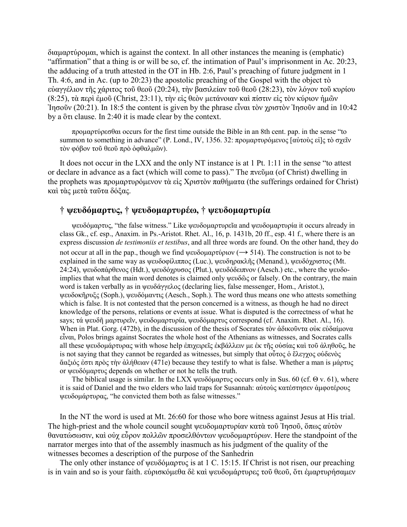διαμαρτύρομαι, which is against the context. In all other instances the meaning is (emphatic) "affirmation" that a thing is or will be so, cf. the intimation of Paul's imprisonment in Ac. 20:23, the adducing of a truth attested in the OT in Hb. 2:6, Paul's preaching of future judgment in 1 Th. 4:6, and in Ac. (up to 20:23) the apostolic preaching of the Gospel with the object τὸ εὐαγγέλιον τῆς χάριτος τοῦ θεοῦ (20:24), τὴν βασιλείαν τοῦ θεοῦ (28:23), τὸν λόγον τοῦ κυρίου (8:25), τὰ περὶ ἐμοῦ (Christ, 23:11), τὴν εἰς θεὸν μετάνοιαν καὶ πίστιν εἰς τὸν κύριον ἡμῶν Ἰησοῦν (20:21). In 18:5 the content is given by the phrase εἶναι τὸν χριστὸν Ἰησοῦν and in 10:42 by a ὃτι clause. In 2:40 it is made clear by the context.

προμαρτύρεσθαι occurs for the first time outside the Bible in an 8th cent. pap. in the sense "to summon to something in advance" (P. Lond., IV, 1356. 32: προμαρτυρόμενος [αὐτοὺς εἰ]ς τὸ σχεῖν τὸν φόβον τοῦ θεοῦ πρὸ ὀφθαλμῶν).

It does not occur in the LXX and the only NT instance is at 1 Pt. 1:11 in the sense "to attest or declare in advance as a fact (which will come to pass)." The πνεῦμα (of Christ) dwelling in the prophets was προμαρτυρόμενον τὰ εἰς Χριστὸν παθήματα (the sufferings ordained for Christ) καὶ τὰς μετὰ ταῦτα δόξας.

# † **ψευδόμαρτυς,** † **ψευδομαρτυρέω,** † **ψευδομαρτυρία**

ψευδόμαρτυς, "the false witness." Like ψευδομαρτυρεῖα and ψευδομαρτυρία it occurs already in class Gk., cf. esp., Anaxim. in Ps.-Aristot. Rhet. Al., 16, p. 1431b, 20 ff., esp. 41 f., where there is an express discussion *de testimoniis et testibus*, and all three words are found. On the other hand, they do not occur at all in the pap., though we find ψευδομαρτύριον (**→** 514). The construction is not to be explained in the same way as ψευδοφίλιππος (Luc.), ψευδηρακλῆς (Menand.), ψευδόχριστος (Mt. 24:24), ψευδοπάρθενος (Hdt.), ψευδόχρυσος (Plut.), ψευδόδειπνον (Aesch.) etc., where the ψευδοimplies that what the main word denotes is claimed only ψευδῶς or falsely. On the contrary, the main word is taken verbally as in ψευδάγγελος (declaring lies, false messenger, Hom., Aristot.), ψευδοκῆρυξς (Soph.), ψευδόμαντις (Aesch., Soph.). The word thus means one who attests something which is false. It is not contested that the person concerned is a witness, as though he had no direct knowledge of the persons, relations or events at issue. What is disputed is the correctness of what he says; τά ψευδῆ μαρτυρεῖν, ψευδομαρτυρία, ψευδόμαρτυς correspond (cf. Anaxim. Rhet. Al., 16). When in Plat. Gorg. (472b), in the discussion of the thesis of Socrates τὸν ἀδικοῦντα οὐκ εὐδαίμονα εἶναι, Polos brings against Socrates the whole host of the Athenians as witnesses, and Socrates calls all these ψευδομάρτυρας with whose help ἐπιχειρεῖς ἐκβάλλειν με ἐκ τῆς οὐσίας καὶ τοῦ ἀληθοῦς, he is not saying that they cannot be regarded as witnesses, but simply that οὗτος ὁ ἔλεγχος οὐδενὸς ἄαξιός ἐστι πρὸς τὴν ἀλήθειαν (471e) because they testify to what is false. Whether a man is μάρτυς or ψευδόμαρτυς depends on whether or not he tells the truth.

The biblical usage is similar. In the LXX ψευδόμαρτυς occurs only in Sus. 60 (cf. Θ v. 61), where it is said of Daniel and the two elders who laid traps for Susannah: αὐτοὺς κατέστησεν ἀμφοτέρους ψευδομάρτυρας, "he convicted them both as false witnesses."

In the NT the word is used at Mt. 26:60 for those who bore witness against Jesus at His trial. The high-priest and the whole council sought ψευδομαρτυρίαν κατὰ τοῦ Ἰησοῦ, ὅπως αὐτὸν θανατώσωσιν, καὶ οὐχ εὗρον πολλῶν προσελθόντων ψευδομαρτύρων. Here the standpoint of the narrator merges into that of the assembly inasmuch as his judgment of the quality of the witnesses becomes a description of the purpose of the Sanhedrin

The only other instance of  $\psi \in \delta_0$  ( $\alpha \in \mathcal{O}$  is at 1 C. 15:15. If Christ is not risen, our preaching is in vain and so is your faith. εὑρισκόμεθα δὲ καὶ ψευδομάρτυρες τοῦ θεοῦ, ὅτι ἐμαρτυρήσαμεν